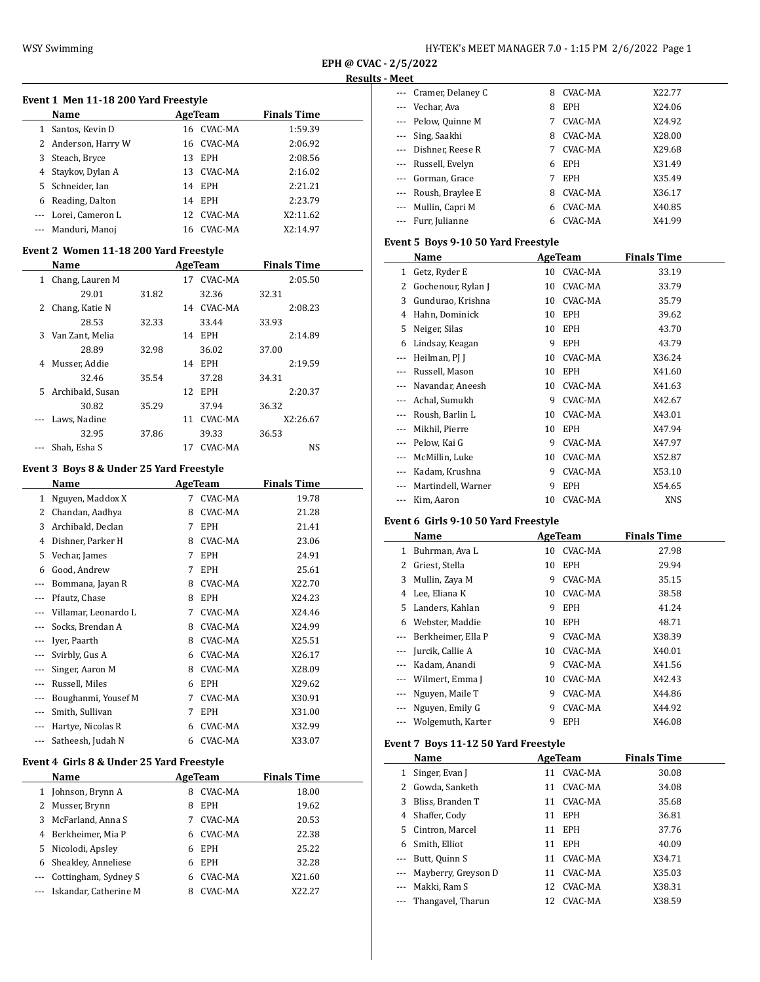| HY-TEK's MEET MANAGER 7.0 - 1:15 PM 2/6/2022 Page 1 |  |
|-----------------------------------------------------|--|
|-----------------------------------------------------|--|

 $\overline{\phantom{0}}$ 

# **Event 1 Men 11-18 200 Yard Freestyle**

|         | Name                |    | AgeTeam    | <b>Finals Time</b> |  |  |  |  |
|---------|---------------------|----|------------|--------------------|--|--|--|--|
| 1       | Santos, Kevin D     | 16 | CVAC-MA    | 1:59.39            |  |  |  |  |
|         | 2 Anderson, Harry W |    | 16 CVAC-MA | 2:06.92            |  |  |  |  |
| 3       | Steach, Bryce       | 13 | <b>EPH</b> | 2:08.56            |  |  |  |  |
|         | 4 Staykov, Dylan A  | 13 | CVAC-MA    | 2:16.02            |  |  |  |  |
|         | 5 Schneider, Ian    | 14 | EPH        | 2:21.21            |  |  |  |  |
| 6       | Reading, Dalton     | 14 | EPH        | 2:23.79            |  |  |  |  |
| $- - -$ | Lorei, Cameron L    | 12 | CVAC-MA    | X2:11.62           |  |  |  |  |
|         | Manduri, Manoj      | 16 | CVAC-MA    | X2:14.97           |  |  |  |  |

## **Event 2 Women 11-18 200 Yard Freestyle**

|    | Name             |       |    | AgeTeam    |       | <b>Finals Time</b> |
|----|------------------|-------|----|------------|-------|--------------------|
| 1  | Chang, Lauren M  |       | 17 | CVAC-MA    |       | 2:05.50            |
|    | 29.01            | 31.82 |    | 32.36      | 32.31 |                    |
| 2  | Chang, Katie N   |       | 14 | CVAC-MA    |       | 2:08.23            |
|    | 28.53            | 32.33 |    | 33.44      | 33.93 |                    |
| 3  | Van Zant, Melia  |       | 14 | <b>EPH</b> |       | 2:14.89            |
|    | 28.89            | 32.98 |    | 36.02      | 37.00 |                    |
| 4  | Musser, Addie    |       | 14 | <b>EPH</b> |       | 2:19.59            |
|    | 32.46            | 35.54 |    | 37.28      | 34.31 |                    |
| 5. | Archibald, Susan |       | 12 | <b>EPH</b> |       | 2:20.37            |
|    | 30.82            | 35.29 |    | 37.94      | 36.32 |                    |
|    | Laws, Nadine     |       | 11 | CVAC-MA    |       | X2:26.67           |
|    | 32.95            | 37.86 |    | 39.33      | 36.53 |                    |
|    | Shah, Esha S     |       | 17 | CVAC-MA    |       | NS                 |

#### **Event 3 Boys 8 & Under 25 Yard Freestyle**

|          | Name                 |   | <b>AgeTeam</b> | <b>Finals Time</b> |
|----------|----------------------|---|----------------|--------------------|
| 1        | Nguyen, Maddox X     | 7 | CVAC-MA        | 19.78              |
| 2        | Chandan, Aadhya      | 8 | CVAC-MA        | 21.28              |
| 3        | Archibald, Declan    | 7 | EPH            | 21.41              |
| 4        | Dishner, Parker H    | 8 | CVAC-MA        | 23.06              |
| 5        | Vechar, James        | 7 | <b>EPH</b>     | 24.91              |
| 6        | Good, Andrew         | 7 | EPH            | 25.61              |
| $---$    | Bommana, Jayan R     | 8 | CVAC-MA        | X22.70             |
|          | Pfautz, Chase        | 8 | EPH            | X24.23             |
|          | Villamar, Leonardo L | 7 | CVAC-MA        | X24.46             |
|          | Socks, Brendan A     | 8 | CVAC-MA        | X24.99             |
|          | Iyer, Paarth         | 8 | CVAC-MA        | X25.51             |
|          | Svirbly, Gus A       | 6 | CVAC-MA        | X26.17             |
| $\cdots$ | Singer, Aaron M      | 8 | CVAC-MA        | X28.09             |
| $\cdots$ | Russell, Miles       | 6 | <b>EPH</b>     | X29.62             |
| ---      | Boughanmi, Yousef M  | 7 | CVAC-MA        | X30.91             |
| $---$    | Smith, Sullivan      | 7 | <b>EPH</b>     | X31.00             |
| $\cdots$ | Hartye, Nicolas R    | 6 | CVAC-MA        | X32.99             |
| ---      | Satheesh, Judah N    | 6 | CVAC-MA        | X33.07             |

## **Event 4 Girls 8 & Under 25 Yard Freestyle**

| <b>Name</b>               |    | AgeTeam        | <b>Finals Time</b> |
|---------------------------|----|----------------|--------------------|
| 1 Johnson, Brynn A        | 8  | <b>CVAC-MA</b> | 18.00              |
| 2 Musser, Brynn           | 8  | <b>EPH</b>     | 19.62              |
| 3 McFarland, Anna S       |    | CVAC-MA        | 20.53              |
| 4 Berkheimer, Mia P       | 6. | CVAC-MA        | 22.38              |
| 5 Nicolodi, Apsley        | 6  | EPH            | 25.22              |
| 6 Sheakley, Anneliese     | 6  | <b>EPH</b>     | 32.28              |
| Cottingham, Sydney S      |    | CVAC-MA        | X21.60             |
| --- Iskandar, Catherine M |    | CVAC-MA        | X22.27             |

| --- Cramer, Delaney C | 8 | CVAC-MA    | X22.77 |
|-----------------------|---|------------|--------|
| --- Vechar, Ava       | 8 | <b>EPH</b> | X24.06 |
| --- Pelow, Quinne M   | 7 | CVAC-MA    | X24.92 |
| --- Sing, Saakhi      | 8 | CVAC-MA    | X28.00 |
| --- Dishner, Reese R  | 7 | CVAC-MA    | X29.68 |
| --- Russell, Evelyn   | 6 | <b>EPH</b> | X31.49 |
| --- Gorman, Grace     | 7 | <b>EPH</b> | X35.49 |
| --- Roush, Braylee E  | 8 | CVAC-MA    | X36.17 |
| --- Mullin, Capri M   | 6 | CVAC-MA    | X40.85 |
| --- Furr, Julianne    | 6 | CVAC-MA    | X41.99 |

## **Event 5 Boys 9-10 50 Yard Freestyle**

|     | Name               |    | AgeTeam    | <b>Finals Time</b> |
|-----|--------------------|----|------------|--------------------|
| 1   | Getz, Ryder E      | 10 | CVAC-MA    | 33.19              |
| 2   | Gochenour, Rylan J | 10 | CVAC-MA    | 33.79              |
| 3   | Gundurao, Krishna  | 10 | CVAC-MA    | 35.79              |
| 4   | Hahn, Dominick     | 10 | EPH        | 39.62              |
| 5   | Neiger, Silas      | 10 | <b>EPH</b> | 43.70              |
| 6   | Lindsay, Keagan    | 9  | <b>EPH</b> | 43.79              |
| --- | Heilman, PJ J      | 10 | CVAC-MA    | X36.24             |
| --- | Russell, Mason     | 10 | <b>EPH</b> | X41.60             |
|     | Navandar, Aneesh   | 10 | CVAC-MA    | X41.63             |
|     | Achal, Sumukh      | 9  | CVAC-MA    | X42.67             |
|     | Roush, Barlin L    | 10 | CVAC-MA    | X43.01             |
|     | Mikhil, Pierre     | 10 | <b>EPH</b> | X47.94             |
|     | Pelow, Kai G       | 9  | CVAC-MA    | X47.97             |
|     | McMillin, Luke     | 10 | CVAC-MA    | X52.87             |
|     | Kadam, Krushna     | 9  | CVAC-MA    | X53.10             |
|     | Martindell, Warner | 9  | EPH        | X54.65             |
| --- | Kim, Aaron         | 10 | CVAC-MA    | XNS                |

## **Event 6 Girls 9-10 50 Yard Freestyle**

|          | Name               |    | AgeTeam    | <b>Finals Time</b> |
|----------|--------------------|----|------------|--------------------|
| 1        | Buhrman, Ava L     | 10 | CVAC-MA    | 27.98              |
| 2        | Griest, Stella     | 10 | <b>EPH</b> | 29.94              |
| 3        | Mullin, Zaya M     | 9  | CVAC-MA    | 35.15              |
| 4        | Lee, Eliana K      | 10 | CVAC-MA    | 38.58              |
| 5.       | Landers, Kahlan    | 9  | <b>EPH</b> | 41.24              |
| 6        | Webster, Maddie    | 10 | <b>EPH</b> | 48.71              |
| $\cdots$ | Berkheimer, Ella P | 9  | CVAC-MA    | X38.39             |
|          | Jurcik, Callie A   | 10 | CVAC-MA    | X40.01             |
| $\cdots$ | Kadam, Anandi      | 9  | CVAC-MA    | X41.56             |
| $\cdots$ | Wilmert, Emma J    | 10 | CVAC-MA    | X42.43             |
| $---$    | Nguyen, Maile T    | 9  | CVAC-MA    | X44.86             |
|          | Nguyen, Emily G    | 9  | CVAC-MA    | X44.92             |
|          | Wolgemuth, Karter  | 9  | <b>EPH</b> | X46.08             |

### **Event 7 Boys 11-12 50 Yard Freestyle**

|              | <b>Name</b>             |    | AgeTeam    | <b>Finals Time</b> |
|--------------|-------------------------|----|------------|--------------------|
| $\mathbf{1}$ | Singer, Evan J          | 11 | CVAC-MA    | 30.08              |
|              | 2 Gowda, Sanketh        |    | 11 CVAC-MA | 34.08              |
| 3            | Bliss, Branden T        |    | 11 CVAC-MA | 35.68              |
|              | 4 Shaffer, Cody         | 11 | <b>EPH</b> | 36.81              |
|              | 5 Cintron, Marcel       |    | 11 EPH     | 37.76              |
| 6            | Smith, Elliot           | 11 | <b>EPH</b> | 40.09              |
|              | Butt, Quinn S           |    | 11 CVAC-MA | X34.71             |
|              | --- Mayberry, Greyson D | 11 | CVAC-MA    | X35.03             |
| $\cdots$     | Makki, Ram S            | 12 | CVAC-MA    | X38.31             |
|              | --- Thangavel, Tharun   |    | 12 CVAC-MA | X38.59             |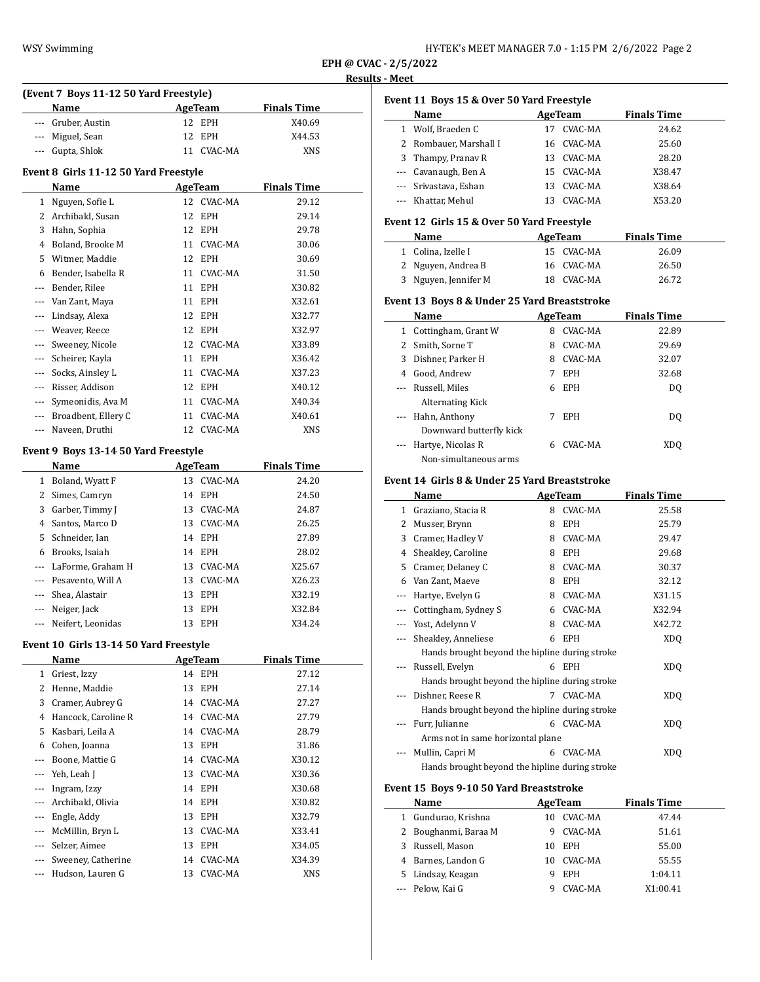| HY-TEK's MEET MANAGER 7.0 - 1:15 PM 2/6/2022 Page 2 |  |
|-----------------------------------------------------|--|
|-----------------------------------------------------|--|

## <u>ks - Meet</u>

|                        | (Event 7 Boys 11-12 50 Yard Freestyle) |    |                       |                    |
|------------------------|----------------------------------------|----|-----------------------|--------------------|
|                        | Name<br><b>Example 2.1 AgeTeam</b>     |    |                       | <b>Finals Time</b> |
|                        | --- Gruber, Austin                     |    | 12 EPH                | X40.69             |
|                        | --- Miguel, Sean                       | 12 | EPH                   | X44.53             |
|                        | --- Gupta, Shlok                       |    | 11 CVAC-MA            | XNS                |
|                        |                                        |    |                       |                    |
|                        | Event 8 Girls 11-12 50 Yard Freestyle  |    |                       |                    |
|                        | Name                                   |    | AgeTeam               | <b>Finals Time</b> |
|                        | 1 Nguyen, Sofie L                      |    | 12 CVAC-MA            | 29.12              |
|                        | 2 Archibald, Susan                     | 12 | EPH                   | 29.14              |
|                        | 3 Hahn, Sophia                         |    | 12 EPH                | 29.78              |
|                        | 4 Boland, Brooke M                     |    | 11 CVAC-MA            | 30.06              |
|                        | 5 Witmer, Maddie                       |    | 12 EPH                | 30.69              |
|                        | 6 Bender, Isabella R                   |    | 11 CVAC-MA            | 31.50              |
|                        | --- Bender, Rilee                      |    | 11 EPH                | X30.82             |
|                        | --- Van Zant, Maya                     |    | 11 EPH                | X32.61             |
|                        | --- Lindsay, Alexa                     |    | 12 EPH                | X32.77             |
|                        | --- Weaver, Reece                      |    | 12 EPH                | X32.97             |
|                        | --- Sweeney, Nicole                    |    | 12 CVAC-MA            | X33.89             |
|                        | --- Scheirer, Kayla                    |    | 11 EPH                | X36.42             |
|                        | --- Socks, Ainsley L                   |    | 11 CVAC-MA            | X37.23             |
|                        | --- Risser, Addison                    |    | 12 EPH                | X40.12             |
|                        | --- Symeonidis, Ava M                  |    | 11 CVAC-MA            | X40.34             |
|                        | --- Broadbent, Ellery C                |    | 11 CVAC-MA            | X40.61             |
|                        | --- Naveen, Druthi                     |    | 12 CVAC-MA            | <b>XNS</b>         |
|                        | Event 9 Boys 13-14 50 Yard Freestyle   |    |                       |                    |
|                        | Name                                   |    | AgeTeam               | <b>Finals Time</b> |
|                        | 1 Boland, Wyatt F                      |    | 13 CVAC-MA            | 24.20              |
|                        | 2 Simes, Camryn                        |    | 14 EPH                | 24.50              |
|                        | 3 Garber, Timmy J                      |    | 13 CVAC-MA            | 24.87              |
|                        | 4 Santos, Marco D                      |    | 13 CVAC-MA            | 26.25              |
|                        | 5 Schneider, Ian                       |    | 14 EPH                | 27.89              |
|                        | 6 Brooks, Isaiah                       |    | 14 EPH                | 28.02              |
|                        | --- LaForme, Graham H                  |    | 13 CVAC-MA            | X25.67             |
|                        | --- Pesavento, Will A                  |    | 13 CVAC-MA            | X26.23             |
|                        | --- Shea, Alastair                     |    | 13 EPH                | X32.19             |
| --- 1                  | Neiger, Jack                           | 13 | EPH                   | X32.84             |
| ---                    | Neifert, Leonidas                      | 13 | EPH                   | X34.24             |
|                        | Event 10 Girls 13-14 50 Yard Freestyle |    |                       |                    |
|                        | Name                                   |    | AgeTeam               | <b>Finals Time</b> |
|                        | 1 Griest, Izzy                         |    | 14 EPH                | 27.12              |
|                        | 2 Henne, Maddie                        | 13 | EPH                   | 27.14              |
|                        | 3 Cramer, Aubrey G                     |    | 14 CVAC-MA            | 27.27              |
|                        | 4 Hancock, Caroline R                  |    | 14 CVAC-MA            | 27.79              |
|                        | 5 Kasbari, Leila A                     |    | 14 CVAC-MA            | 28.79              |
|                        | 6 Cohen, Joanna                        |    | 13 EPH                | 31.86              |
|                        | --- Boone, Mattie G                    |    | 14 CVAC-MA            | X30.12             |
|                        | --- Yeh, Leah J                        | 13 | CVAC-MA               |                    |
|                        | --- Ingram, Izzy                       |    | 14 EPH                | X30.36             |
|                        | --- Archibald, Olivia                  |    |                       | X30.68             |
|                        |                                        |    | 14 EPH                | X30.82             |
|                        | --- Engle, Addy                        |    | 13 EPH                | X32.79             |
|                        | McMillin, Bryn L                       |    | 13 CVAC-MA            | X33.41             |
| --- 1                  |                                        |    |                       | X34.05             |
|                        | --- Selzer, Aimee                      |    | 13 EPH                |                    |
| --- 1<br>$\frac{1}{2}$ | Sweeney, Catherine<br>Hudson, Lauren G | 13 | 14 CVAC-MA<br>CVAC-MA | X34.39<br>XNS      |

|              | Event 11 Boys 15 & Over 50 Yard Freestyle     |    |                |                    |  |
|--------------|-----------------------------------------------|----|----------------|--------------------|--|
|              | Name                                          |    | AgeTeam        | <b>Finals Time</b> |  |
|              | 1 Wolf, Braeden C                             | 17 | CVAC-MA        | 24.62              |  |
| 2            | Rombauer. Marshall I                          |    | 16 CVAC-MA     | 25.60              |  |
| 3            | Thampy, Pranav R                              |    | 13 CVAC-MA     | 28.20              |  |
| $---$        | Cavanaugh, Ben A                              |    | 15 CVAC-MA     | X38.47             |  |
| ---          | Srivastava, Eshan                             |    | 13 CVAC-MA     | X38.64             |  |
|              | Khattar, Mehul                                |    | 13 CVAC-MA     | X53.20             |  |
|              | Event 12 Girls 15 & Over 50 Yard Freestyle    |    |                |                    |  |
|              | Name                                          |    | AgeTeam        | <b>Finals Time</b> |  |
|              | 1 Colina, Izelle I                            |    | 15 CVAC-MA     | 26.09              |  |
| 2            | Nguyen, Andrea B                              |    | 16 CVAC-MA     | 26.50              |  |
|              | 3 Nguyen, Jennifer M                          |    | 18 CVAC-MA     | 26.72              |  |
|              | Event 13 Boys 8 & Under 25 Yard Breaststroke  |    |                |                    |  |
|              | Name                                          |    | AgeTeam        | <b>Finals Time</b> |  |
|              | 1 Cottingham, Grant W                         |    | 8 CVAC-MA      | 22.89              |  |
|              | 2 Smith, Sorne T                              |    | 8 CVAC-MA      | 29.69              |  |
|              | 3 Dishner, Parker H                           |    | 8 CVAC-MA      | 32.07              |  |
|              | 4 Good, Andrew                                | 7  | <b>EPH</b>     | 32.68              |  |
| $- - -$      | Russell, Miles                                | 6  | EPH            | D <sub>0</sub>     |  |
|              | <b>Alternating Kick</b>                       |    |                |                    |  |
|              | Hahn, Anthony                                 | 7  | EPH            | D <sub>0</sub>     |  |
|              | Downward butterfly kick                       |    |                |                    |  |
|              | Hartye, Nicolas R                             | 6  | CVAC-MA        | <b>XDQ</b>         |  |
|              | Non-simultaneous arms                         |    |                |                    |  |
|              | Event 14 Girls 8 & Under 25 Yard Breaststroke |    |                |                    |  |
|              | Name                                          |    | <b>AgeTeam</b> | <b>Finals Time</b> |  |
| $\mathbf{1}$ | Graziano, Stacia R                            | 8  | CVAC-MA        | 25.58              |  |

|     | name                                           |   | <b>Age ream</b> | <b>Finals Time</b> |
|-----|------------------------------------------------|---|-----------------|--------------------|
| 1   | Graziano, Stacia R                             | 8 | CVAC-MA         | 25.58              |
| 2   | Musser, Brynn                                  | 8 | <b>EPH</b>      | 25.79              |
| 3   | Cramer, Hadley V                               | 8 | CVAC-MA         | 29.47              |
| 4   | Sheakley, Caroline                             | 8 | <b>EPH</b>      | 29.68              |
| 5   | Cramer, Delaney C                              | 8 | CVAC-MA         | 30.37              |
| 6   | Van Zant, Maeve                                | 8 | <b>EPH</b>      | 32.12              |
| --- | Hartye, Evelyn G                               | 8 | CVAC-MA         | X31.15             |
|     | Cottingham, Sydney S                           | 6 | CVAC-MA         | X32.94             |
|     | Yost, Adelynn V                                | 8 | CVAC-MA         | X42.72             |
|     | Sheakley, Anneliese                            | 6 | <b>EPH</b>      | XDQ                |
|     | Hands brought beyond the hipline during stroke |   |                 |                    |
|     | Russell, Evelyn                                | 6 | <b>EPH</b>      | XDQ                |
|     | Hands brought beyond the hipline during stroke |   |                 |                    |
|     | Dishner, Reese R                               | 7 | CVAC-MA         | XDO                |
|     | Hands brought beyond the hipline during stroke |   |                 |                    |
|     | Furr, Julianne                                 | 6 | CVAC-MA         | XDO                |
|     | Arms not in same horizontal plane              |   |                 |                    |
|     | Mullin, Capri M                                | 6 | CVAC-MA         | <b>XDQ</b>         |
|     | Hands brought beyond the hipline during stroke |   |                 |                    |

# **Event 15 Boys 9-10 50 Yard Breaststroke**

|   | Name                 |    | AgeTeam    | <b>Finals Time</b> |
|---|----------------------|----|------------|--------------------|
| 1 | Gundurao, Krishna    | 10 | CVAC-MA    | 47.44              |
|   | 2 Boughanmi, Baraa M |    | CVAC-MA    | 51.61              |
| 3 | Russell, Mason       | 10 | <b>EPH</b> | 55.00              |
|   | 4 Barnes, Landon G   | 10 | CVAC-MA    | 55.55              |
|   | 5 Lindsay, Keagan    |    | <b>EPH</b> | 1:04.11            |
|   | --- Pelow, Kai G     |    | CVAC-MA    | X1:00.41           |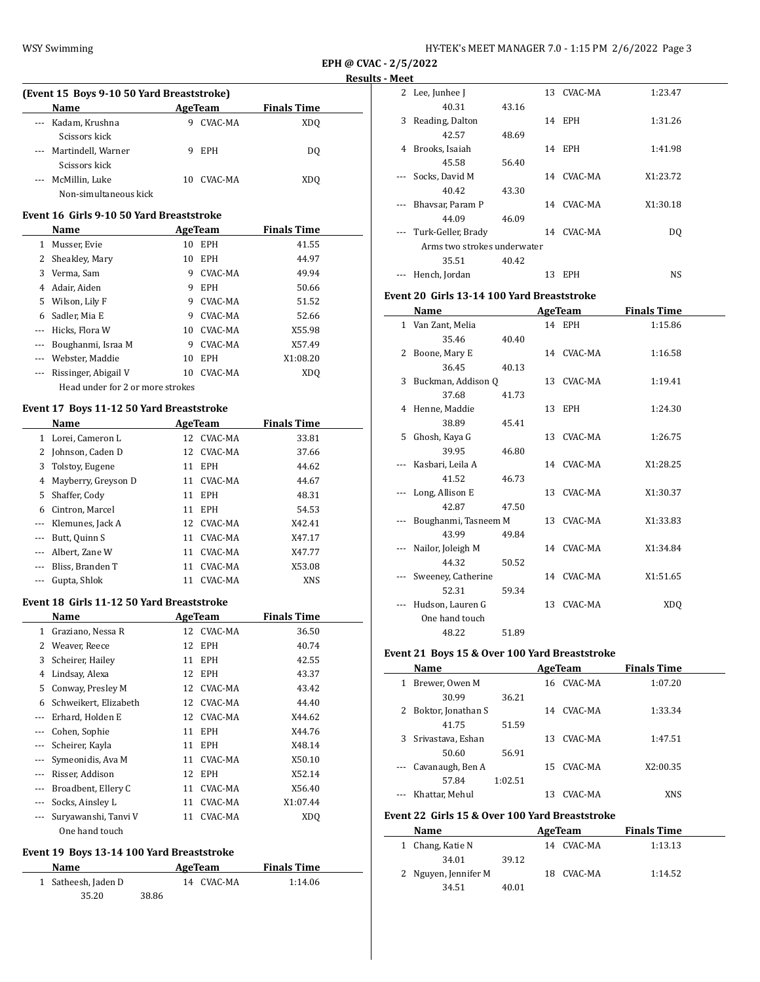**(Event 15 Boys 9-10 50 Yard Breaststroke)**

**Name Age Team Finals Time** 

| HY-TEK's MEET MANAGER 7.0 - 1:15 PM 2/6/2022 Page 3 |  |  |  |
|-----------------------------------------------------|--|--|--|
|-----------------------------------------------------|--|--|--|

**EPH @ CVAC - 2/5/2022 Results - Meet**

| --- | Kadam, Krushna                            | 9        | CVAC-MA    | XDQ                |  |
|-----|-------------------------------------------|----------|------------|--------------------|--|
|     | Scissors kick                             |          |            |                    |  |
|     | Martindell, Warner                        | 9        | EPH        | DQ                 |  |
|     | Scissors kick                             |          |            |                    |  |
| --- | McMillin, Luke                            | 10       | CVAC-MA    | <b>XDQ</b>         |  |
|     | Non-simultaneous kick                     |          |            |                    |  |
|     | Event 16 Girls 9-10 50 Yard Breaststroke  |          |            |                    |  |
|     |                                           |          |            |                    |  |
|     | Name                                      |          | AgeTeam    | <b>Finals Time</b> |  |
|     | 1 Musser, Evie                            |          | 10 EPH     | 41.55              |  |
|     | 2 Sheakley, Mary                          |          | 10 EPH     | 44.97              |  |
|     | 3 Verma, Sam                              | 9        | CVAC-MA    | 49.94              |  |
|     | 4 Adair, Aiden                            | 9        | <b>EPH</b> | 50.66              |  |
|     | 5 Wilson, Lily F                          | 9        | CVAC-MA    | 51.52              |  |
|     | 6 Sadler, Mia E                           | 9        | CVAC-MA    | 52.66              |  |
|     | --- Hicks, Flora W                        | 10       | CVAC-MA    | X55.98             |  |
|     | --- Boughanmi, Israa M                    | 9        | CVAC-MA    | X57.49             |  |
|     | --- Webster, Maddie                       | 10       | EPH        | X1:08.20           |  |
|     | --- Rissinger, Abigail V                  | 10       | CVAC-MA    | <b>XDQ</b>         |  |
|     | Head under for 2 or more strokes          |          |            |                    |  |
|     | Event 17 Boys 11-12 50 Yard Breaststroke  |          |            |                    |  |
|     |                                           |          |            |                    |  |
|     | Name                                      |          | AgeTeam    | <b>Finals Time</b> |  |
|     | 1 Lorei, Cameron L                        |          | 12 CVAC-MA | 33.81              |  |
|     | 2 Johnson, Caden D                        |          | 12 CVAC-MA | 37.66              |  |
|     | 3 Tolstoy, Eugene                         |          | 11 EPH     | 44.62              |  |
|     | 4 Mayberry, Greyson D                     | 11       | CVAC-MA    | 44.67              |  |
|     | 5 Shaffer, Cody                           | 11       | EPH        | 48.31              |  |
|     | 6 Cintron, Marcel                         |          | 11 EPH     | 54.53              |  |
|     | --- Klemunes, Jack A                      | 12       | CVAC-MA    | X42.41             |  |
|     | --- Butt, Quinn S                         | 11       | CVAC-MA    | X47.17             |  |
|     | --- Albert, Zane W                        | 11       | CVAC-MA    | X47.77             |  |
|     | --- Bliss, Branden T                      | 11       | CVAC-MA    | X53.08             |  |
|     | Gupta, Shlok                              | 11       | CVAC-MA    | XNS                |  |
|     | Event 18 Girls 11-12 50 Yard Breaststroke |          |            |                    |  |
|     | Name                                      |          | AgeTeam    | <b>Finals Time</b> |  |
|     | 1 Graziano, Nessa R                       |          | 12 CVAC-MA | 36.50              |  |
|     | 2 Weaver, Reece                           |          | 12 EPH     | 40.74              |  |
|     | 3 Scheirer, Hailey                        |          | 11 EPH     | 42.55              |  |
|     | 4 Lindsay, Alexa                          |          | 12 EPH     | 43.37              |  |
| 5   | Conway, Presley M                         | 12       | CVAC-MA    | 43.42              |  |
| 6   | Schweikert, Elizabeth                     | 12       | CVAC-MA    | 44.40              |  |
| --- | Erhard, Holden E                          | 12       | CVAC-MA    | X44.62             |  |
| --- | Cohen, Sophie                             | 11       | EPH        | X44.76             |  |
| --- | Scheirer, Kayla                           | 11       | EPH        | X48.14             |  |
| --- | Symeonidis, Ava M                         |          | CVAC-MA    |                    |  |
|     | Risser, Addison                           | 11<br>12 |            | X50.10<br>X52.14   |  |
| --- |                                           |          | EPH        |                    |  |
| --- | Broadbent, Ellery C                       | 11       | CVAC-MA    | X56.40             |  |
|     | Socks, Ainsley L                          | 11       | CVAC-MA    | X1:07.44           |  |
|     | Suryawanshi, Tanvi V                      | 11       | CVAC-MA    | XDQ                |  |
|     | One hand touch                            |          |            |                    |  |

# **Event 19 Boys 13-14 100 Yard Breaststroke**

| Name                |       | AgeTeam    | <b>Finals Time</b> |  |
|---------------------|-------|------------|--------------------|--|
| 1 Satheesh, Jaden D |       | 14 CVAC-MA | 1:14.06            |  |
| 35.20               | 38.86 |            |                    |  |

|          | 2 Lee, Junhee J             |       |    | 13 CVAC-MA | 1:23.47  |  |
|----------|-----------------------------|-------|----|------------|----------|--|
|          | 40.31                       | 43.16 |    |            |          |  |
| 3        | Reading, Dalton             |       | 14 | <b>EPH</b> | 1:31.26  |  |
|          | 42.57                       | 48.69 |    |            |          |  |
| 4        | Brooks, Isaiah              |       |    | 14 EPH     | 1:41.98  |  |
|          | 45.58                       | 56.40 |    |            |          |  |
|          | Socks, David M              |       |    | 14 CVAC-MA | X1:23.72 |  |
|          | 40.42                       | 43.30 |    |            |          |  |
|          | Bhaysar, Param P            |       | 14 | CVAC-MA    | X1:30.18 |  |
|          | 44.09                       | 46.09 |    |            |          |  |
| $\cdots$ | Turk-Geller, Brady          |       | 14 | CVAC-MA    | DQ       |  |
|          | Arms two strokes underwater |       |    |            |          |  |
|          | 35.51                       | 40.42 |    |            |          |  |
|          | Hench, Jordan               |       | 13 | <b>EPH</b> | NS       |  |

### **Event 20 Girls 13-14 100 Yard Breaststroke**

| Name                 |       | AgeTeam    | <b>Finals Time</b> |
|----------------------|-------|------------|--------------------|
| 1 Van Zant, Melia    |       | 14 EPH     | 1:15.86            |
| 35.46                | 40.40 |            |                    |
| 2 Boone, Mary E      |       | 14 CVAC-MA | 1:16.58            |
| 36.45                | 40.13 |            |                    |
| 3 Buckman, Addison Q |       | 13 CVAC-MA | 1:19.41            |
| 37.68                | 41.73 |            |                    |
| 4 Henne, Maddie      |       | 13 EPH     | 1:24.30            |
| 38.89                | 45.41 |            |                    |
| 5 Ghosh, Kaya G      |       | 13 CVAC-MA | 1:26.75            |
| 39.95                | 46.80 |            |                    |
| Kasbari, Leila A     |       | 14 CVAC-MA | X1:28.25           |
| 41.52                | 46.73 |            |                    |
| Long, Allison E      |       | 13 CVAC-MA | X1:30.37           |
| 42.87                | 47.50 |            |                    |
| Boughanmi, Tasneem M |       | 13 CVAC-MA | X1:33.83           |
| 43.99                | 49.84 |            |                    |
| Nailor, Joleigh M    |       | 14 CVAC-MA | X1:34.84           |
| 44.32                | 50.52 |            |                    |
| Sweeney, Catherine   |       | 14 CVAC-MA | X1:51.65           |
| 52.31                | 59.34 |            |                    |
| Hudson, Lauren G     |       | 13 CVAC-MA | XD <sub>O</sub>    |
| One hand touch       |       |            |                    |
| 48.22                | 51.89 |            |                    |

## **Event 21 Boys 15 & Over 100 Yard Breaststroke**

|   | Name                 |         |    | AgeTeam | <b>Finals Time</b> |  |
|---|----------------------|---------|----|---------|--------------------|--|
| 1 | Brewer, Owen M       |         | 16 | CVAC-MA | 1:07.20            |  |
|   | 30.99                | 36.21   |    |         |                    |  |
|   | 2 Boktor, Jonathan S |         | 14 | CVAC-MA | 1:33.34            |  |
|   | 41.75                | 51.59   |    |         |                    |  |
|   | 3 Srivastava, Eshan  |         | 13 | CVAC-MA | 1:47.51            |  |
|   | 50.60                | 56.91   |    |         |                    |  |
|   | --- Cavanaugh, Ben A |         | 15 | CVAC-MA | X2:00.35           |  |
|   | 57.84                | 1:02.51 |    |         |                    |  |
|   | Khattar, Mehul       |         | 13 | CVAC-MA | XNS                |  |

#### **Event 22 Girls 15 & Over 100 Yard Breaststroke**

 $\frac{1}{2}$ 

| Name                 |       | AgeTeam |            | <b>Finals Time</b> |  |
|----------------------|-------|---------|------------|--------------------|--|
| 1 Chang, Katie N     |       |         | 14 CVAC-MA | 1:13.13            |  |
| 34.01                | 39.12 |         |            |                    |  |
| 2 Nguyen, Jennifer M |       |         | 18 CVAC-MA | 1:14.52            |  |
| 34.51                | 40.01 |         |            |                    |  |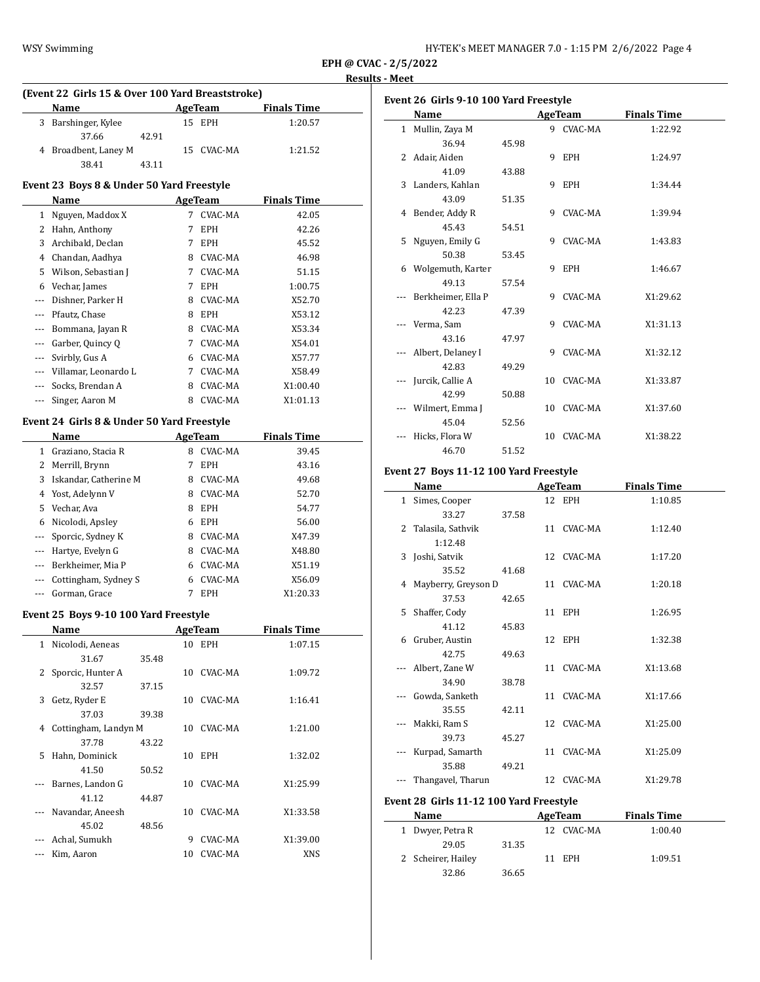| HY-TEK's MEET MANAGER 7.0 - 1:15 PM 2/6/2022 Page 4 |  |  |
|-----------------------------------------------------|--|--|
|-----------------------------------------------------|--|--|

## **Results - Meet**

|                          |                                                  |       |         |                |                    | <u>Resi</u> |
|--------------------------|--------------------------------------------------|-------|---------|----------------|--------------------|-------------|
|                          | (Event 22 Girls 15 & Over 100 Yard Breaststroke) |       |         |                |                    |             |
|                          | Name                                             |       |         | <b>AgeTeam</b> | <b>Finals Time</b> |             |
| 3                        | Barshinger, Kylee                                |       | 15      | <b>EPH</b>     | 1:20.57            |             |
| 4                        | 37.66                                            | 42.91 |         |                |                    |             |
|                          | Broadbent, Laney M<br>38.41                      |       | 15      | CVAC-MA        | 1:21.52            |             |
|                          |                                                  | 43.11 |         |                |                    |             |
|                          | Event 23 Boys 8 & Under 50 Yard Freestyle        |       |         |                |                    |             |
|                          | Name                                             |       |         | <b>AgeTeam</b> | <b>Finals Time</b> |             |
| 1                        | Nguyen, Maddox X                                 |       | 7       | <b>CVAC-MA</b> | 42.05              |             |
|                          | 2 Hahn, Anthony                                  |       | 7       | EPH            | 42.26              |             |
| 3                        | Archibald, Declan                                |       | 7       | <b>EPH</b>     | 45.52              |             |
| 4                        | Chandan, Aadhya                                  |       |         | 8 CVAC-MA      | 46.98              |             |
| 5                        | Wilson, Sebastian J                              |       |         | 7 CVAC-MA      | 51.15              |             |
| 6                        | Vechar, James                                    |       | 7       | <b>EPH</b>     | 1:00.75            |             |
| ---                      | Dishner, Parker H                                |       |         | 8 CVAC-MA      | X52.70             |             |
| ---                      | Pfautz, Chase                                    |       |         | 8 EPH          | X53.12             |             |
| ---                      | Bommana, Jayan R                                 |       |         | 8 CVAC-MA      | X53.34             |             |
| ---                      | Garber, Quincy Q                                 |       |         | 7 CVAC-MA      | X54.01             |             |
| ---                      | Svirbly, Gus A                                   |       |         | 6 CVAC-MA      | X57.77             |             |
| ---                      | Villamar, Leonardo L                             |       |         | 7 CVAC-MA      | X58.49             |             |
| ---                      | Socks, Brendan A                                 |       |         | 8 CVAC-MA      | X1:00.40           |             |
| ---                      | Singer, Aaron M                                  |       |         | 8 CVAC-MA      | X1:01.13           |             |
|                          |                                                  |       |         |                |                    |             |
|                          | Event 24 Girls 8 & Under 50 Yard Freestyle       |       |         |                |                    |             |
|                          | Name                                             |       |         | <b>AgeTeam</b> | <b>Finals Time</b> |             |
|                          | 1 Graziano, Stacia R                             |       | 8       | CVAC-MA        | 39.45              |             |
| 2                        | Merrill, Brynn                                   |       | 7       | EPH            | 43.16              |             |
| 3                        | Iskandar, Catherine M                            |       |         | 8 CVAC-MA      | 49.68              |             |
| 4                        | Yost, Adelynn V                                  |       |         | 8 CVAC-MA      | 52.70              |             |
| 5                        | Vechar, Ava                                      |       |         | 8 EPH          | 54.77              |             |
| 6                        | Nicolodi, Apsley                                 |       |         | 6 EPH          | 56.00              |             |
| $\cdots$                 | Sporcic, Sydney K                                |       |         | 8 CVAC-MA      | X47.39             |             |
| $\cdots$                 | Hartye, Evelyn G                                 |       |         | 8 CVAC-MA      | X48.80             |             |
| $---$                    | Berkheimer, Mia P                                |       |         | 6 CVAC-MA      | X51.19             |             |
| ---                      | Cottingham, Sydney S                             |       |         | 6 CVAC-MA      | X56.09             |             |
| $\overline{\phantom{a}}$ | Gorman, Grace                                    |       | 7       | EPH            | X1:20.33           |             |
|                          | Event 25 Boys 9-10 100 Yard Freestyle            |       |         |                |                    |             |
|                          | <u>Name</u>                                      |       | AgeTeam |                | <b>Finals Time</b> |             |
| 1                        | Nicolodi, Aeneas                                 |       |         | 10 EPH         | 1:07.15            |             |
|                          | 31.67                                            | 35.48 |         |                |                    |             |
| 2                        | Sporcic, Hunter A                                |       | 10      | CVAC-MA        | 1:09.72            |             |
|                          | 32.57                                            | 37.15 |         |                |                    |             |
| 3                        | Getz, Ryder E                                    |       | 10      | CVAC-MA        | 1:16.41            |             |
|                          | 37.03                                            | 39.38 |         |                |                    |             |
| 4                        | Cottingham, Landyn M                             |       | 10      | CVAC-MA        | 1:21.00            |             |
|                          | 37.78                                            | 43.22 |         |                |                    |             |
| 5                        | Hahn, Dominick                                   |       | 10      | <b>EPH</b>     | 1:32.02            |             |
|                          | 41.50                                            | 50.52 |         |                |                    |             |
| ---                      | Barnes, Landon G                                 |       | 10      | CVAC-MA        | X1:25.99           |             |
|                          | 41.12                                            | 44.87 |         |                |                    |             |
| ---                      | Navandar, Aneesh                                 |       | 10      | CVAC-MA        | X1:33.58           |             |
|                          | 45.02                                            | 48.56 |         |                |                    |             |
|                          | Achal, Sumukh                                    |       |         | 9 CVAC-MA      | X1:39.00           |             |
|                          | Kim, Aaron                                       |       |         | 10 CVAC-MA     | XNS                |             |
|                          |                                                  |       |         |                |                    |             |
|                          |                                                  |       |         |                |                    |             |

|              | Name                                   |       |    | AgeTeam        | <b>Finals Time</b> |
|--------------|----------------------------------------|-------|----|----------------|--------------------|
| $\mathbf{1}$ | Mullin, Zaya M                         |       |    | 9 CVAC-MA      | 1:22.92            |
|              | 36.94                                  | 45.98 |    |                |                    |
|              | 2 Adair, Aiden                         |       | 9  | EPH            | 1:24.97            |
|              | 41.09                                  | 43.88 |    |                |                    |
| 3            | Landers, Kahlan                        |       | 9  | EPH            | 1:34.44            |
|              | 43.09                                  | 51.35 |    |                |                    |
|              | 4 Bender, Addy R                       |       |    | 9 CVAC-MA      | 1:39.94            |
|              | 45.43                                  | 54.51 |    |                |                    |
|              | 5 Nguyen, Emily G                      |       | 9  | CVAC-MA        | 1:43.83            |
|              | 50.38                                  | 53.45 |    |                |                    |
|              | 6 Wolgemuth, Karter                    |       |    | 9 EPH          | 1:46.67            |
|              | 49.13                                  | 57.54 |    |                |                    |
|              | Berkheimer, Ella P                     |       |    | 9 CVAC-MA      | X1:29.62           |
|              | 42.23                                  | 47.39 |    |                |                    |
|              | Verma, Sam                             |       | 9  | CVAC-MA        | X1:31.13           |
|              | 43.16                                  | 47.97 |    |                |                    |
|              | Albert, Delaney I                      |       |    | 9 CVAC-MA      | X1:32.12           |
|              | 42.83                                  | 49.29 |    |                |                    |
|              | Jurcik, Callie A                       |       |    | 10 CVAC-MA     | X1:33.87           |
|              | 42.99                                  | 50.88 |    |                |                    |
|              | Wilmert, Emma J                        |       |    | 10 CVAC-MA     | X1:37.60           |
|              | 45.04                                  | 52.56 |    |                |                    |
|              | Hicks, Flora W                         |       | 10 | CVAC-MA        | X1:38.22           |
|              | 46.70                                  | 51.52 |    |                |                    |
|              | Event 27 Boys 11-12 100 Yard Freestyle |       |    |                |                    |
|              | Name                                   |       |    | <b>AgeTeam</b> | <b>Finals Time</b> |

|              | Name                                    | <b>AgeTeam</b> |  |                | <b>Finals Time</b> |  |
|--------------|-----------------------------------------|----------------|--|----------------|--------------------|--|
| $\mathbf{1}$ | Simes, Cooper                           |                |  | 12 EPH         | 1:10.85            |  |
|              | 33.27                                   | 37.58          |  |                |                    |  |
|              | 2 Talasila, Sathvik                     |                |  | 11 CVAC-MA     | 1:12.40            |  |
|              | 1:12.48                                 |                |  |                |                    |  |
|              | 3 Joshi, Satvik                         |                |  | 12 CVAC-MA     | 1:17.20            |  |
|              | 35.52                                   | 41.68          |  |                |                    |  |
|              | 4 Mayberry, Greyson D                   |                |  | 11 CVAC-MA     | 1:20.18            |  |
|              | 37.53                                   | 42.65          |  |                |                    |  |
|              | 5 Shaffer, Cody                         |                |  | 11 EPH         | 1:26.95            |  |
|              | 41.12                                   | 45.83          |  |                |                    |  |
|              | 6 Gruber, Austin                        |                |  | 12 EPH         | 1:32.38            |  |
|              | 42.75                                   | 49.63          |  |                |                    |  |
|              | Albert, Zane W                          |                |  | 11 CVAC-MA     | X1:13.68           |  |
|              | 34.90                                   | 38.78          |  |                |                    |  |
|              | Gowda, Sanketh                          |                |  | 11 CVAC-MA     | X1:17.66           |  |
|              | 35.55                                   | 42.11          |  |                |                    |  |
|              | Makki, Ram S                            |                |  | 12 CVAC-MA     | X1:25.00           |  |
|              | 39.73                                   | 45.27          |  |                |                    |  |
|              | Kurpad, Samarth                         |                |  | 11 CVAC-MA     | X1:25.09           |  |
|              | 35.88                                   | 49.21          |  |                |                    |  |
|              | Thangavel, Tharun                       |                |  | 12 CVAC-MA     | X1:29.78           |  |
|              | Event 28 Girls 11-12 100 Yard Freestyle |                |  |                |                    |  |
|              | Name                                    |                |  | <b>AgeTeam</b> | <b>Finals Time</b> |  |
| $\mathbf{1}$ | Dwyer, Petra R                          |                |  | 12 CVAC-MA     | 1:00.40            |  |
|              | 29.05                                   | 31.35          |  |                |                    |  |

2 Scheirer, Hailey 11 EPH 1:09.51

32.86 36.65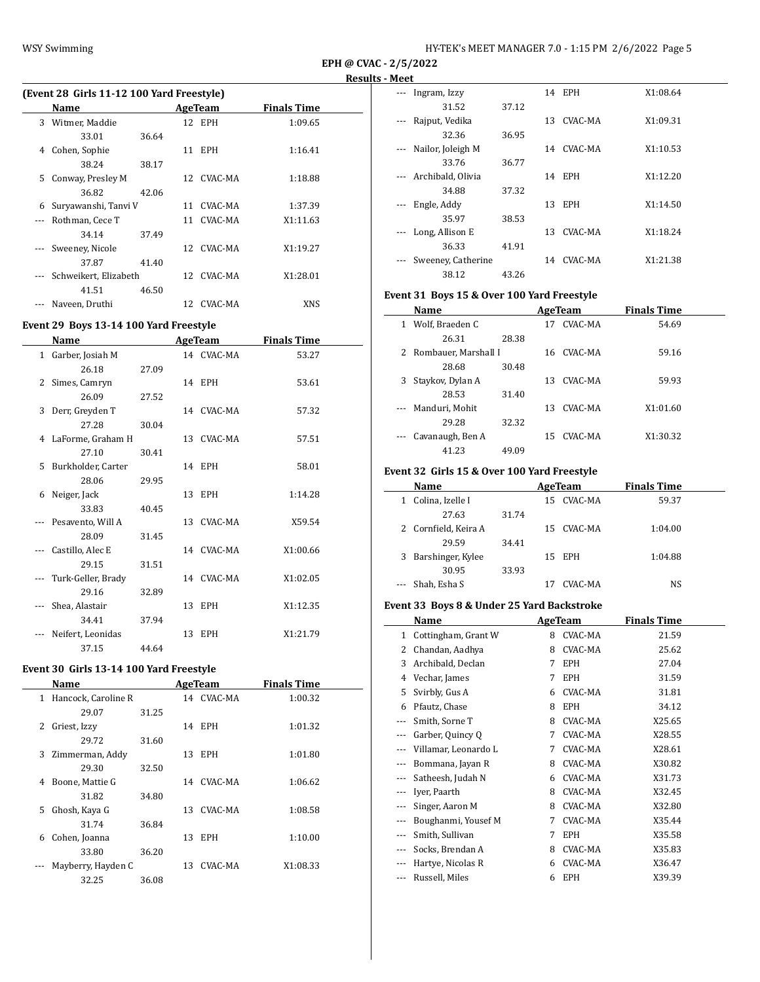|                                       | (Event 28 Girls 11-12 100 Yard Freestyle) |       |                 |            |          |  |  |  |
|---------------------------------------|-------------------------------------------|-------|-----------------|------------|----------|--|--|--|
| <b>Finals Time</b><br>Name<br>AgeTeam |                                           |       |                 |            |          |  |  |  |
| 3                                     | Witmer, Maddie                            |       |                 | 12 EPH     | 1:09.65  |  |  |  |
|                                       | 33.01                                     | 36.64 |                 |            |          |  |  |  |
| 4                                     | Cohen, Sophie                             |       |                 | 11 EPH     | 1:16.41  |  |  |  |
|                                       | 38.24                                     | 38.17 |                 |            |          |  |  |  |
| 5.                                    | Conway, Presley M                         |       |                 | 12 CVAC-MA | 1:18.88  |  |  |  |
|                                       | 36.82                                     | 42.06 |                 |            |          |  |  |  |
| 6                                     | Suryawanshi, Tanvi V                      |       | 11              | CVAC-MA    | 1:37.39  |  |  |  |
|                                       | Rothman, Cece T                           |       | 11              | CVAC-MA    | X1:11.63 |  |  |  |
|                                       | 34.14                                     | 37.49 |                 |            |          |  |  |  |
| $---$                                 | Sweeney, Nicole                           |       | 12 <sup>1</sup> | CVAC-MA    | X1:19.27 |  |  |  |
|                                       | 37.87                                     | 41.40 |                 |            |          |  |  |  |
|                                       | Schweikert, Elizabeth                     |       |                 | 12 CVAC-MA | X1:28.01 |  |  |  |
|                                       | 41.51                                     | 46.50 |                 |            |          |  |  |  |
|                                       | Naveen, Druthi                            |       | 12              | CVAC-MA    | XNS      |  |  |  |

## **Event 29 Boys 13-14 100 Yard Freestyle**

| Name |                      | <b>AgeTeam</b> |  |            | <b>Finals Time</b> |  |
|------|----------------------|----------------|--|------------|--------------------|--|
|      | 1 Garber, Josiah M   |                |  | 14 CVAC-MA | 53.27              |  |
|      | 26.18                | 27.09          |  |            |                    |  |
|      | 2 Simes, Camryn      |                |  | 14 EPH     | 53.61              |  |
|      | 26.09                | 27.52          |  |            |                    |  |
| 3    | Derr, Greyden T      |                |  | 14 CVAC-MA | 57.32              |  |
|      | 27.28                | 30.04          |  |            |                    |  |
|      | 4 LaForme, Graham H  |                |  | 13 CVAC-MA | 57.51              |  |
|      | 27.10                | 30.41          |  |            |                    |  |
|      | 5 Burkholder, Carter |                |  | 14 EPH     | 58.01              |  |
|      | 28.06                | 29.95          |  |            |                    |  |
|      | 6 Neiger, Jack       |                |  | 13 EPH     | 1:14.28            |  |
|      | 33.83                | 40.45          |  |            |                    |  |
|      | Pesavento, Will A    |                |  | 13 CVAC-MA | X59.54             |  |
|      | 28.09                | 31.45          |  |            |                    |  |
|      | Castillo, Alec E     |                |  | 14 CVAC-MA | X1:00.66           |  |
|      | 29.15                | 31.51          |  |            |                    |  |
|      | Turk-Geller, Brady   |                |  | 14 CVAC-MA | X1:02.05           |  |
|      | 29.16                | 32.89          |  |            |                    |  |
|      | Shea, Alastair       |                |  | 13 EPH     | X1:12.35           |  |
|      | 34.41                | 37.94          |  |            |                    |  |
|      | Neifert, Leonidas    |                |  | 13 EPH     | X1:21.79           |  |
|      | 37.15                | 44.64          |  |            |                    |  |

# **Event 30 Girls 13-14 100 Yard Freestyle**

|              | Name                |       |    | AgeTeam    | <b>Finals Time</b> |  |  |
|--------------|---------------------|-------|----|------------|--------------------|--|--|
| $\mathbf{1}$ | Hancock, Caroline R |       |    | 14 CVAC-MA | 1:00.32            |  |  |
|              | 29.07               | 31.25 |    |            |                    |  |  |
| 2            | Griest, Izzy        |       | 14 | EPH        | 1:01.32            |  |  |
|              | 29.72               | 31.60 |    |            |                    |  |  |
| 3            | Zimmerman, Addy     |       | 13 | <b>EPH</b> | 1:01.80            |  |  |
|              | 29.30               | 32.50 |    |            |                    |  |  |
| 4            | Boone, Mattie G     |       | 14 | CVAC-MA    | 1:06.62            |  |  |
|              | 31.82               | 34.80 |    |            |                    |  |  |
| 5            | Ghosh, Kaya G       |       | 13 | CVAC-MA    | 1:08.58            |  |  |
|              | 31.74               | 36.84 |    |            |                    |  |  |
| 6            | Cohen, Joanna       |       | 13 | <b>EPH</b> | 1:10.00            |  |  |
|              | 33.80               | 36.20 |    |            |                    |  |  |
|              | Mayberry, Hayden C  |       | 13 | CVAC-MA    | X1:08.33           |  |  |
|              | 32.25               | 36.08 |    |            |                    |  |  |
|              |                     |       |    |            |                    |  |  |

| Ingram, Izzy       |       | 14  | EPH        | X1:08.64 |
|--------------------|-------|-----|------------|----------|
| 31.52              | 37.12 |     |            |          |
| Rajput, Vedika     |       | 13. | CVAC-MA    | X1:09.31 |
| 32.36              | 36.95 |     |            |          |
| Nailor, Joleigh M  |       | 14  | CVAC-MA    | X1:10.53 |
| 33.76              | 36.77 |     |            |          |
| Archibald, Olivia  |       |     | 14 EPH     | X1:12.20 |
| 34.88              | 37.32 |     |            |          |
| Engle, Addy        |       | 13  | <b>EPH</b> | X1:14.50 |
| 35.97              | 38.53 |     |            |          |
| Long, Allison E    |       | 13  | CVAC-MA    | X1:18.24 |
| 36.33              | 41.91 |     |            |          |
| Sweeney, Catherine |       | 14  | CVAC-MA    | X1:21.38 |
| 38.12              | 43.26 |     |            |          |

## **Event 31 Boys 15 & Over 100 Yard Freestyle**

|          | Name                   |       |    | AgeTeam | <b>Finals Time</b> |  |
|----------|------------------------|-------|----|---------|--------------------|--|
| 1        | Wolf, Braeden C        |       | 17 | CVAC-MA | 54.69              |  |
|          | 26.31                  | 28.38 |    |         |                    |  |
|          | 2 Rombauer, Marshall I |       | 16 | CVAC-MA | 59.16              |  |
|          | 28.68                  | 30.48 |    |         |                    |  |
| 3        | Staykov, Dylan A       |       | 13 | CVAC-MA | 59.93              |  |
|          | 28.53                  | 31.40 |    |         |                    |  |
| $\cdots$ | Manduri, Mohit         |       | 13 | CVAC-MA | X1:01.60           |  |
|          | 29.28                  | 32.32 |    |         |                    |  |
|          | --- Cavanaugh, Ben A   |       | 15 | CVAC-MA | X1:30.32           |  |
|          | 41.23                  | 49.09 |    |         |                    |  |

### **Event 32 Girls 15 & Over 100 Yard Freestyle**

|   | Name                 |       |    | AgeTeam    | <b>Finals Time</b> |  |
|---|----------------------|-------|----|------------|--------------------|--|
| 1 | Colina, Izelle I     |       | 15 | CVAC-MA    | 59.37              |  |
|   | 27.63                | 31.74 |    |            |                    |  |
|   | 2 Cornfield, Keira A |       |    | 15 CVAC-MA | 1:04.00            |  |
|   | 29.59                | 34.41 |    |            |                    |  |
|   | 3 Barshinger, Kylee  |       |    | 15 EPH     | 1:04.88            |  |
|   | 30.95                | 33.93 |    |            |                    |  |
|   | --- Shah, Esha S     |       |    | CVAC-MA    | NS                 |  |

### **Event 33 Boys 8 & Under 25 Yard Backstroke**

|                     | Name                 |   | AgeTeam    | <b>Finals Time</b> |
|---------------------|----------------------|---|------------|--------------------|
| 1                   | Cottingham, Grant W  | 8 | CVAC-MA    | 21.59              |
| 2                   | Chandan, Aadhya      | 8 | CVAC-MA    | 25.62              |
| 3                   | Archibald, Declan    | 7 | EPH        | 27.04              |
| 4                   | Vechar, James        | 7 | <b>EPH</b> | 31.59              |
| 5                   | Svirbly, Gus A       | 6 | CVAC-MA    | 31.81              |
| 6                   | Pfautz, Chase        | 8 | <b>EPH</b> | 34.12              |
| $---$               | Smith, Sorne T       | 8 | CVAC-MA    | X25.65             |
| $---$               | Garber, Quincy Q     | 7 | CVAC-MA    | X28.55             |
|                     | Villamar, Leonardo L | 7 | CVAC-MA    | X28.61             |
| $---$               | Bommana, Jayan R     | 8 | CVAC-MA    | X30.82             |
| $\qquad \qquad - -$ | Satheesh, Judah N    | 6 | CVAC-MA    | X31.73             |
| $\qquad \qquad - -$ | Iyer, Paarth         | 8 | CVAC-MA    | X32.45             |
|                     | Singer, Aaron M      | 8 | CVAC-MA    | X32.80             |
|                     | Boughanmi, Yousef M  | 7 | CVAC-MA    | X35.44             |
|                     | Smith, Sullivan      | 7 | EPH        | X35.58             |
| $\cdots$            | Socks, Brendan A     | 8 | CVAC-MA    | X35.83             |
| ---                 | Hartye, Nicolas R    | 6 | CVAC-MA    | X36.47             |
| ---                 | Russell, Miles       | 6 | <b>EPH</b> | X39.39             |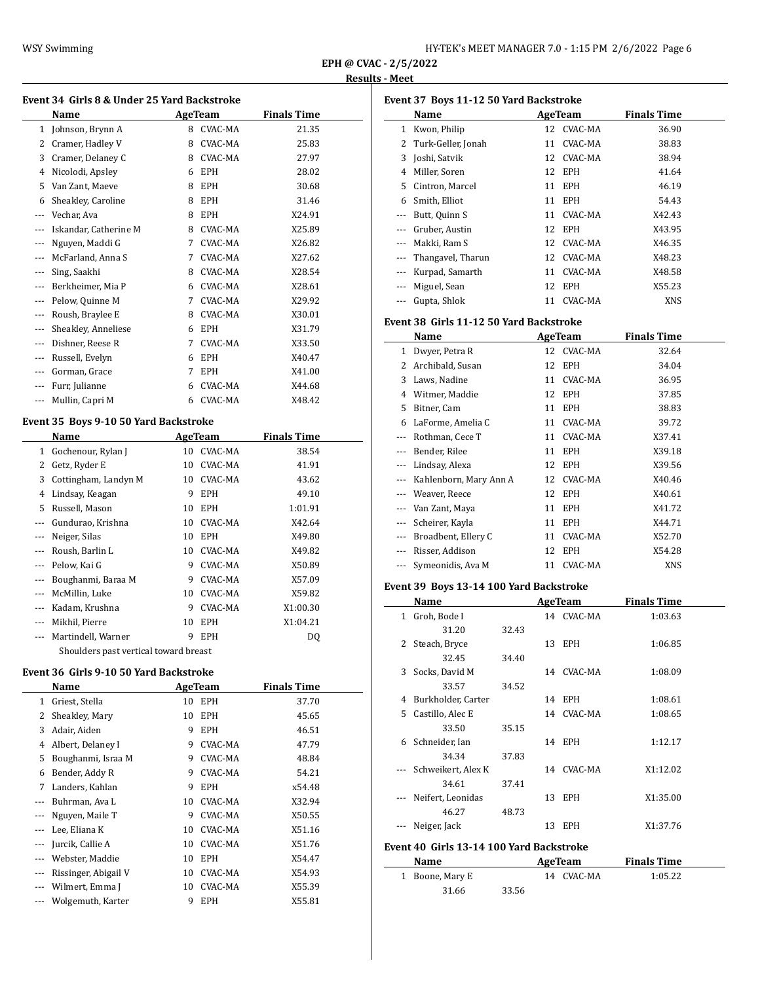| HY-TEK's MEET MANAGER 7.0 - 1:15 PM 2/6/2022 Page 6 |  |  |  |  |  |
|-----------------------------------------------------|--|--|--|--|--|
|-----------------------------------------------------|--|--|--|--|--|

### **Results - Meet**

 $\overline{a}$ 

|          | Event 34 Girls 8 & Under 25 Yard Backstroke |   |            |                    |  |  |  |
|----------|---------------------------------------------|---|------------|--------------------|--|--|--|
|          | Name                                        |   | AgeTeam    | <b>Finals Time</b> |  |  |  |
| 1        | Johnson, Brynn A                            | 8 | CVAC-MA    | 21.35              |  |  |  |
| 2        | Cramer, Hadley V                            | 8 | CVAC-MA    | 25.83              |  |  |  |
| 3        | Cramer, Delaney C                           | 8 | CVAC-MA    | 27.97              |  |  |  |
| 4        | Nicolodi, Apsley                            | 6 | <b>EPH</b> | 28.02              |  |  |  |
| 5        | Van Zant, Maeve                             | 8 | <b>EPH</b> | 30.68              |  |  |  |
| 6        | Sheakley, Caroline                          | 8 | <b>EPH</b> | 31.46              |  |  |  |
| ---      | Vechar, Ava                                 | 8 | <b>EPH</b> | X24.91             |  |  |  |
| ---      | Iskandar, Catherine M                       | 8 | CVAC-MA    | X25.89             |  |  |  |
|          | Nguyen, Maddi G                             | 7 | CVAC-MA    | X26.82             |  |  |  |
| $---$    | McFarland, Anna S                           | 7 | CVAC-MA    | X27.62             |  |  |  |
| ---      | Sing, Saakhi                                | 8 | CVAC-MA    | X28.54             |  |  |  |
| ---      | Berkheimer, Mia P                           | 6 | CVAC-MA    | X28.61             |  |  |  |
| ---      | Pelow, Quinne M                             | 7 | CVAC-MA    | X29.92             |  |  |  |
| ---      | Roush, Braylee E                            | 8 | CVAC-MA    | X30.01             |  |  |  |
| $---$    | Sheakley, Anneliese                         | 6 | <b>EPH</b> | X31.79             |  |  |  |
| $---$    | Dishner, Reese R                            | 7 | CVAC-MA    | X33.50             |  |  |  |
| $---$    | Russell, Evelyn                             | 6 | <b>EPH</b> | X40.47             |  |  |  |
| $\cdots$ | Gorman, Grace                               | 7 | <b>EPH</b> | X41.00             |  |  |  |
| $---$    | Furr, Julianne                              | 6 | CVAC-MA    | X44.68             |  |  |  |
|          | Mullin, Capri M                             | 6 | CVAC-MA    | X48.42             |  |  |  |
|          |                                             |   |            |                    |  |  |  |

# **Event 35 Boys 9-10 50 Yard Backstroke**

|              | Name                                  |    | AgeTeam    | <b>Finals Time</b> |  |
|--------------|---------------------------------------|----|------------|--------------------|--|
| $\mathbf{1}$ | Gochenour, Rylan J                    | 10 | CVAC-MA    | 38.54              |  |
| 2            | Getz, Ryder E                         | 10 | CVAC-MA    | 41.91              |  |
| 3            | Cottingham, Landyn M                  | 10 | CVAC-MA    | 43.62              |  |
| 4            | Lindsay, Keagan                       | 9  | EPH        | 49.10              |  |
| 5            | Russell, Mason                        | 10 | <b>EPH</b> | 1:01.91            |  |
|              | Gundurao, Krishna                     | 10 | CVAC-MA    | X42.64             |  |
| ---          | Neiger, Silas                         | 10 | EPH        | X49.80             |  |
|              | Roush, Barlin L                       | 10 | CVAC-MA    | X49.82             |  |
|              | Pelow, Kai G                          | 9  | CVAC-MA    | X50.89             |  |
| ---          | Boughanmi, Baraa M                    | 9  | CVAC-MA    | X57.09             |  |
|              | McMillin, Luke                        | 10 | CVAC-MA    | X59.82             |  |
|              | Kadam, Krushna                        | 9  | CVAC-MA    | X1:00.30           |  |
| $---$        | Mikhil, Pierre                        | 10 | <b>EPH</b> | X1:04.21           |  |
|              | Martindell, Warner                    | 9  | <b>EPH</b> | DQ                 |  |
|              | Shoulders past vertical toward breast |    |            |                    |  |

### **Event 36 Girls 9-10 50 Yard Backstroke**

|          | Name                 |    | <b>AgeTeam</b> | <b>Finals Time</b> |  |  |
|----------|----------------------|----|----------------|--------------------|--|--|
| 1        | Griest, Stella       | 10 | EPH            | 37.70              |  |  |
| 2        | Sheakley, Mary       | 10 | <b>EPH</b>     | 45.65              |  |  |
| 3        | Adair, Aiden         | 9  | <b>EPH</b>     | 46.51              |  |  |
| 4        | Albert, Delaney I    | 9  | CVAC-MA        | 47.79              |  |  |
| 5        | Boughanmi, Israa M   | 9  | CVAC-MA        | 48.84              |  |  |
| 6        | Bender, Addy R       | 9  | CVAC-MA        | 54.21              |  |  |
| 7        | Landers, Kahlan      | 9  | <b>EPH</b>     | x54.48             |  |  |
|          | Buhrman, Ava L       | 10 | CVAC-MA        | X32.94             |  |  |
|          | Nguyen, Maile T      | 9  | CVAC-MA        | X50.55             |  |  |
|          | Lee, Eliana K        | 10 | CVAC-MA        | X51.16             |  |  |
|          | Jurcik, Callie A     | 10 | CVAC-MA        | X51.76             |  |  |
|          | Webster, Maddie      | 10 | EPH            | X54.47             |  |  |
| $\cdots$ | Rissinger, Abigail V | 10 | CVAC-MA        | X54.93             |  |  |
|          | Wilmert, Emma J      | 10 | CVAC-MA        | X55.39             |  |  |
|          | Wolgemuth, Karter    | 9  | EPH            | X55.81             |  |  |

|          | Event 37 Boys 11-12 50 Yard Backstroke |    |            |                    |
|----------|----------------------------------------|----|------------|--------------------|
|          | Name                                   |    | AgeTeam    | <b>Finals Time</b> |
| 1        | Kwon, Philip                           |    | 12 CVAC-MA | 36.90              |
| 2        | Turk-Geller, Jonah                     | 11 | CVAC-MA    | 38.83              |
| 3        | Joshi, Satvik                          |    | 12 CVAC-MA | 38.94              |
| 4        | Miller, Soren                          |    | 12 EPH     | 41.64              |
| 5.       | Cintron, Marcel                        | 11 | <b>EPH</b> | 46.19              |
| 6        | Smith, Elliot                          | 11 | <b>EPH</b> | 54.43              |
|          | Butt, Quinn S                          | 11 | CVAC-MA    | X42.43             |
| ---      | Gruber, Austin                         |    | 12 EPH     | X43.95             |
|          | Makki, Ram S                           |    | 12 CVAC-MA | X46.35             |
| $\cdots$ | Thangavel, Tharun                      |    | 12 CVAC-MA | X48.23             |
| ---      | Kurpad, Samarth                        | 11 | CVAC-MA    | X48.58             |
| ---      | Miguel, Sean                           |    | 12 EPH     | X55.23             |
|          | Gupta, Shlok                           | 11 | CVAC-MA    | <b>XNS</b>         |

### **Event 38 Girls 11-12 50 Yard Backstroke**

|       | Name                   | AgeTeam |            | <b>Finals Time</b> |
|-------|------------------------|---------|------------|--------------------|
| 1     | Dwyer, Petra R         | 12      | CVAC-MA    | 32.64              |
| 2     | Archibald, Susan       | 12      | <b>EPH</b> | 34.04              |
| 3     | Laws, Nadine           | 11      | CVAC-MA    | 36.95              |
| 4     | Witmer, Maddie         | 12      | EPH        | 37.85              |
| 5     | Bitner, Cam            | 11      | <b>EPH</b> | 38.83              |
| 6     | LaForme, Amelia C      | 11      | CVAC-MA    | 39.72              |
|       | Rothman, Cece T        | 11      | CVAC-MA    | X37.41             |
|       | Bender, Rilee          | 11      | <b>EPH</b> | X39.18             |
| $---$ | Lindsay, Alexa         | 12      | EPH        | X39.56             |
|       | Kahlenborn, Mary Ann A | 12      | CVAC-MA    | X40.46             |
| ---   | Weaver, Reece          | 12      | EPH        | X40.61             |
| ---   | Van Zant, Maya         | 11      | <b>EPH</b> | X41.72             |
|       | Scheirer, Kayla        | 11      | <b>EPH</b> | X44.71             |
|       | Broadbent, Ellery C    | 11      | CVAC-MA    | X52.70             |
|       | Risser, Addison        | 12      | EPH        | X54.28             |
|       | Symeonidis, Ava M      | 11      | CVAC-MA    | XNS                |

# **Event 39 Boys 13-14 100 Yard Backstroke**

|   | Name               |       |    | AgeTeam    | <b>Finals Time</b> |  |
|---|--------------------|-------|----|------------|--------------------|--|
| 1 | Groh, Bode I       |       |    | 14 CVAC-MA | 1:03.63            |  |
|   | 31.20              | 32.43 |    |            |                    |  |
| 2 | Steach, Bryce      |       |    | 13 EPH     | 1:06.85            |  |
|   | 32.45              | 34.40 |    |            |                    |  |
| 3 | Socks, David M     |       |    | 14 CVAC-MA | 1:08.09            |  |
|   | 33.57              | 34.52 |    |            |                    |  |
| 4 | Burkholder, Carter |       |    | 14 EPH     | 1:08.61            |  |
|   | 5 Castillo, Alec E |       |    | 14 CVAC-MA | 1:08.65            |  |
|   | 33.50              | 35.15 |    |            |                    |  |
| 6 | Schneider, Ian     |       |    | 14 EPH     | 1:12.17            |  |
|   | 34.34              | 37.83 |    |            |                    |  |
|   | Schweikert, Alex K |       |    | 14 CVAC-MA | X1:12.02           |  |
|   | 34.61              | 37.41 |    |            |                    |  |
|   | Neifert, Leonidas  |       |    | 13 EPH     | X1:35.00           |  |
|   | 46.27              | 48.73 |    |            |                    |  |
|   | Neiger, Jack       |       | 13 | <b>EPH</b> | X1:37.76           |  |
|   |                    |       |    |            |                    |  |

# **Event 40 Girls 13-14 100 Yard Backstroke**

| Name            |       | AgeTeam    | <b>Finals Time</b> |  |
|-----------------|-------|------------|--------------------|--|
| 1 Boone, Mary E |       | 14 CVAC-MA | 1:05.22            |  |
| 31.66           | 33.56 |            |                    |  |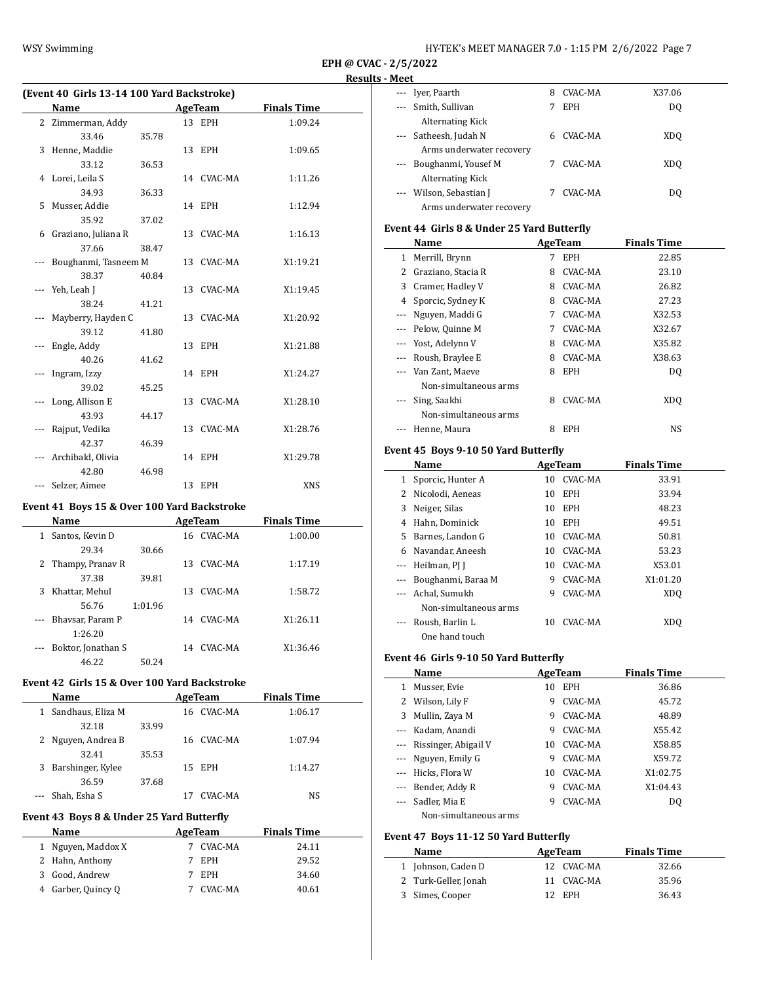| HY-TEK's MEET MANAGER 7.0 - 1:15 PM 2/6/2022 Page 7 |  |
|-----------------------------------------------------|--|
|-----------------------------------------------------|--|

 $\overline{\phantom{a}}$ 

 $\overline{a}$ 

### **(Event 40 Girls 13-14 100 Yard Backstroke) Name Age Team Finals Time** 2 Zimmerman, Addy 13 EPH 1:09.24 33.46 35.78 3 Henne, Maddie 13 EPH 1:09.65 33.12 36.53 4 Lorei, Leila S 14 CVAC-MA 1:11.26 34.93 36.33 5 Musser, Addie 14 EPH 1:12.94 35.92 37.02 6 Graziano, Juliana R 13 CVAC-MA 1:16.13 37.66 38.47 --- Boughanmi, Tasneem M 13 CVAC-MA X1:19.21 38.37 40.84 --- Yeh, Leah J 13 CVAC-MA X1:19.45 38.24 41.21 --- Mayberry, Hayden C 13 CVAC-MA X1:20.92 39.12 41.80 --- Engle, Addy 13 EPH X1:21.88 40.26 41.62 --- Ingram, Izzy 14 EPH X1:24.27 39.02 45.25 --- Long, Allison E 13 CVAC-MA X1:28.10 43.93 44.17 --- Rajput, Vedika 13 CVAC-MA X1:28.76 42.37 46.39 --- Archibald, Olivia 14 EPH X1:29.78 42.80 46.98 --- Selzer, Aimee 13 EPH XNS

#### **Event 41 Boys 15 & Over 100 Yard Backstroke**

|          | Name               |         |     | AgeTeam    | <b>Finals Time</b> |  |
|----------|--------------------|---------|-----|------------|--------------------|--|
| 1        | Santos, Kevin D    |         |     | 16 CVAC-MA | 1:00.00            |  |
|          | 29.34              | 30.66   |     |            |                    |  |
|          | 2 Thampy, Pranav R |         | 13. | CVAC-MA    | 1:17.19            |  |
|          | 37.38              | 39.81   |     |            |                    |  |
| 3        | Khattar, Mehul     |         | 13. | CVAC-MA    | 1:58.72            |  |
|          | 56.76              | 1:01.96 |     |            |                    |  |
| $\cdots$ | Bhaysar, Param P   |         | 14  | CVAC-MA    | X1:26.11           |  |
|          | 1:26.20            |         |     |            |                    |  |
|          | Boktor, Jonathan S |         | 14  | CVAC-MA    | X1:36.46           |  |
|          | 46.22              | 50.24   |     |            |                    |  |

# **Event 42 Girls 15 & Over 100 Yard Backstroke**

|    | <b>Name</b>        |       | AgeTeam    | <b>Finals Time</b> |  |
|----|--------------------|-------|------------|--------------------|--|
| 1. | Sandhaus, Eliza M  |       | 16 CVAC-MA | 1:06.17            |  |
|    | 32.18              | 33.99 |            |                    |  |
|    | 2 Nguyen, Andrea B |       | 16 CVAC-MA | 1:07.94            |  |
|    | 32.41              | 35.53 |            |                    |  |
| 3  | Barshinger, Kylee  |       | 15 EPH     | 1:14.27            |  |
|    | 36.59              | 37.68 |            |                    |  |
|    | Shah, Esha S       |       | CVAC-MA    | NS                 |  |

# **Event 43 Boys 8 & Under 25 Yard Butterfly**

| <b>Name</b> |                    | AgeTeam    | <b>Finals Time</b> |
|-------------|--------------------|------------|--------------------|
|             | 1 Nguyen, Maddox X | CVAC-MA    | 24.11              |
|             | 2 Hahn, Anthony    | EPH        | 29.52              |
|             | 3 Good, Andrew     | <b>EPH</b> | 34.60              |
|             | 4 Garber, Quincy Q | CVAC-MA    | 40.61              |

| MEEL     |                          |   |            |                 |  |
|----------|--------------------------|---|------------|-----------------|--|
| $\cdots$ | Iver, Paarth             | 8 | CVAC-MA    | X37.06          |  |
| $\cdots$ | Smith, Sullivan          |   | <b>EPH</b> | DO              |  |
|          | <b>Alternating Kick</b>  |   |            |                 |  |
|          | Satheesh, Judah N        | 6 | CVAC-MA    | XD <sub>0</sub> |  |
|          | Arms underwater recovery |   |            |                 |  |
|          | Boughanmi, Yousef M      |   | CVAC-MA    | XD <sub>0</sub> |  |
|          | <b>Alternating Kick</b>  |   |            |                 |  |
|          | Wilson, Sebastian J      |   | CVAC-MA    | DO              |  |
|          | Arms underwater recovery |   |            |                 |  |

## **Event 44 Girls 8 & Under 25 Yard Butterfly**

|   | Name                                     |   | AgeTeam    | <b>Finals Time</b> |  |
|---|------------------------------------------|---|------------|--------------------|--|
| 1 | Merrill, Brynn                           | 7 | <b>EPH</b> | 22.85              |  |
| 2 | Graziano, Stacia R                       | 8 | CVAC-MA    | 23.10              |  |
| 3 | Cramer, Hadley V                         | 8 | CVAC-MA    | 26.82              |  |
| 4 | Sporcic, Sydney K                        | 8 | CVAC-MA    | 27.23              |  |
|   | Nguyen, Maddi G                          | 7 | CVAC-MA    | X32.53             |  |
|   | Pelow, Quinne M                          | 7 | CVAC-MA    | X32.67             |  |
|   | --- Yost, Adelynn V                      | 8 | CVAC-MA    | X35.82             |  |
|   | --- Roush, Braylee E                     | 8 | CVAC-MA    | X38.63             |  |
|   | Van Zant, Maeve<br>Non-simultaneous arms | 8 | <b>EPH</b> | D <sub>0</sub>     |  |
|   | Sing, Saakhi<br>Non-simultaneous arms    | 8 | CVAC-MA    | XDO                |  |
|   | Henne, Maura                             | 8 | <b>EPH</b> | NS                 |  |

# **Event 45 Boys 9-10 50 Yard Butterfly**

|   | Name                  |    | AgeTeam    | <b>Finals Time</b> |  |
|---|-----------------------|----|------------|--------------------|--|
|   | Sporcic, Hunter A     |    | 10 CVAC-MA | 33.91              |  |
| 2 | Nicolodi, Aeneas      | 10 | <b>EPH</b> | 33.94              |  |
| 3 | Neiger, Silas         | 10 | <b>EPH</b> | 48.23              |  |
| 4 | Hahn, Dominick        | 10 | <b>EPH</b> | 49.51              |  |
| 5 | Barnes, Landon G      |    | 10 CVAC-MA | 50.81              |  |
| 6 | Navandar, Aneesh      | 10 | CVAC-MA    | 53.23              |  |
|   | Heilman, PJ J         | 10 | CVAC-MA    | X53.01             |  |
|   | Boughanmi, Baraa M    | 9  | CVAC-MA    | X1:01.20           |  |
|   | Achal, Sumukh         | 9  | CVAC-MA    | XD <sub>0</sub>    |  |
|   | Non-simultaneous arms |    |            |                    |  |
|   | Roush, Barlin L       | 10 | CVAC-MA    | XDO                |  |
|   | One hand touch        |    |            |                    |  |

#### **Event 46 Girls 9-10 50 Yard Butterfly**

|   | Name                  |    | AgeTeam        | <b>Finals Time</b> |
|---|-----------------------|----|----------------|--------------------|
| 1 | Musser, Evie          | 10 | <b>EPH</b>     | 36.86              |
| 2 | Wilson, Lily F        | 9  | CVAC-MA        | 45.72              |
| 3 | Mullin, Zaya M        | 9  | CVAC-MA        | 48.89              |
|   | Kadam, Anandi         | 9  | CVAC-MA        | X55.42             |
|   | Rissinger, Abigail V  | 10 | CVAC-MA        | X58.85             |
|   | --- Nguyen, Emily G   | 9  | CVAC-MA        | X59.72             |
|   | Hicks. Flora W        | 10 | CVAC-MA        | X1:02.75           |
|   | Bender, Addy R        | 9  | CVAC-MA        | X1:04.43           |
|   | Sadler, Mia E         | 9  | <b>CVAC-MA</b> | DO.                |
|   | Non-simultaneous arms |    |                |                    |

### **Event 47 Boys 11-12 50 Yard Butterfly**

| <b>Name</b>          | AgeTeam           | <b>Finals Time</b> |
|----------------------|-------------------|--------------------|
| 1 Johnson, Caden D   | 12 CVAC-MA        | 32.66              |
| 2 Turk-Geller, Jonah | 11 CVAC-MA        | 35.96              |
| 3 Simes, Cooper      | <b>EPH</b><br>12. | 36.43              |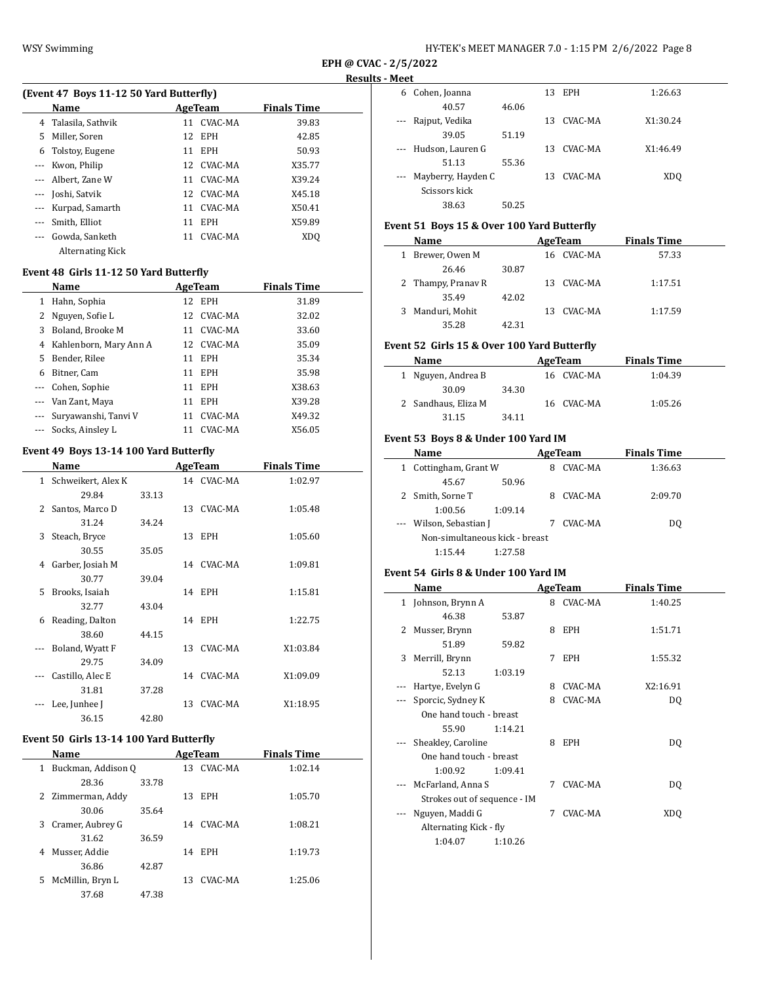### **Results - Meet**

 $\overline{\phantom{0}}$ 

| (Event 47 Boys 11-12 50 Yard Butterfly) |                         |    |            |                    |  |  |  |
|-----------------------------------------|-------------------------|----|------------|--------------------|--|--|--|
|                                         | Name                    |    | AgeTeam    | <b>Finals Time</b> |  |  |  |
| 4                                       | Talasila, Sathvik       |    | 11 CVAC-MA | 39.83              |  |  |  |
| 5                                       | Miller, Soren           |    | 12 EPH     | 42.85              |  |  |  |
| 6                                       | Tolstoy, Eugene         | 11 | <b>EPH</b> | 50.93              |  |  |  |
|                                         | Kwon, Philip            |    | 12 CVAC-MA | X35.77             |  |  |  |
|                                         | Albert, Zane W          |    | 11 CVAC-MA | X39.24             |  |  |  |
|                                         | --- Joshi, Satvik       |    | 12 CVAC-MA | X45.18             |  |  |  |
| ---                                     | Kurpad, Samarth         | 11 | CVAC-MA    | X50.41             |  |  |  |
|                                         | Smith, Elliot           | 11 | <b>EPH</b> | X59.89             |  |  |  |
| $\frac{1}{2}$                           | Gowda, Sanketh          | 11 | CVAC-MA    | XDO                |  |  |  |
|                                         | <b>Alternating Kick</b> |    |            |                    |  |  |  |

## **Event 48 Girls 11-12 50 Yard Butterfly**

|              | Name                   |    | AgeTeam    | <b>Finals Time</b> |
|--------------|------------------------|----|------------|--------------------|
| $\mathbf{1}$ | Hahn, Sophia           |    | 12 EPH     | 31.89              |
| 2            | Nguyen, Sofie L        |    | 12 CVAC-MA | 32.02              |
| 3            | Boland, Brooke M       | 11 | CVAC-MA    | 33.60              |
| 4            | Kahlenborn, Mary Ann A |    | 12 CVAC-MA | 35.09              |
| 5.           | Bender, Rilee          | 11 | <b>EPH</b> | 35.34              |
| 6            | Bitner, Cam            | 11 | <b>EPH</b> | 35.98              |
|              | --- Cohen, Sophie      | 11 | <b>EPH</b> | X38.63             |
|              | --- Van Zant, Maya     | 11 | <b>EPH</b> | X39.28             |
| ---          | Suryawanshi, Tanyi V   | 11 | CVAC-MA    | X49.32             |
|              | Socks, Ainsley L       | 11 | CVAC-MA    | X56.05             |

### **Event 49 Boys 13-14 100 Yard Butterfly**

|                          | Name                 |       |    | AgeTeam    | <b>Finals Time</b> |
|--------------------------|----------------------|-------|----|------------|--------------------|
|                          | 1 Schweikert, Alex K |       |    | 14 CVAC-MA | 1:02.97            |
|                          | 29.84                | 33.13 |    |            |                    |
| 2                        | Santos, Marco D      |       |    | 13 CVAC-MA | 1:05.48            |
|                          | 31.24                | 34.24 |    |            |                    |
| 3                        | Steach, Bryce        |       |    | 13 EPH     | 1:05.60            |
|                          | 30.55                | 35.05 |    |            |                    |
| 4                        | Garber, Josiah M     |       |    | 14 CVAC-MA | 1:09.81            |
|                          | 30.77                | 39.04 |    |            |                    |
| 5                        | Brooks, Isaiah       |       |    | 14 EPH     | 1:15.81            |
|                          | 32.77                | 43.04 |    |            |                    |
| 6                        | Reading, Dalton      |       |    | 14 EPH     | 1:22.75            |
|                          | 38.60                | 44.15 |    |            |                    |
| $\overline{\phantom{a}}$ | Boland, Wyatt F      |       | 13 | CVAC-MA    | X1:03.84           |
|                          | 29.75                | 34.09 |    |            |                    |
|                          | Castillo, Alec E     |       |    | 14 CVAC-MA | X1:09.09           |
|                          | 31.81                | 37.28 |    |            |                    |
|                          | Lee, Junhee J        |       | 13 | CVAC-MA    | X1:18.95           |
|                          | 36.15                | 42.80 |    |            |                    |

### **Event 50 Girls 13-14 100 Yard Butterfly**

|    | Name               |       |    | AgeTeam    | <b>Finals Time</b> |  |
|----|--------------------|-------|----|------------|--------------------|--|
| 1  | Buckman, Addison Q |       | 13 | CVAC-MA    | 1:02.14            |  |
|    | 28.36              | 33.78 |    |            |                    |  |
|    | 2 Zimmerman, Addy  |       | 13 | <b>EPH</b> | 1:05.70            |  |
|    | 30.06              | 35.64 |    |            |                    |  |
| 3. | Cramer, Aubrey G   |       |    | 14 CVAC-MA | 1:08.21            |  |
|    | 31.62              | 36.59 |    |            |                    |  |
| 4  | Musser, Addie      |       |    | 14 EPH     | 1:19.73            |  |
|    | 36.86              | 42.87 |    |            |                    |  |
| 5. | McMillin, Bryn L   |       | 13 | CVAC-MA    | 1:25.06            |  |
|    | 37.68              | 47.38 |    |            |                    |  |

| 6                                      | Cohen, Joanna        |       |     | 13 EPH  | 1:26.63         |
|----------------------------------------|----------------------|-------|-----|---------|-----------------|
|                                        | 40.57                | 46.06 |     |         |                 |
| $\scriptstyle\cdots\scriptstyle\cdots$ | Rajput, Vedika       |       | 13. | CVAC-MA | X1:30.24        |
|                                        | 39.05                | 51.19 |     |         |                 |
|                                        | --- Hudson, Lauren G |       | 13. | CVAC-MA | X1:46.49        |
|                                        | 51.13                | 55.36 |     |         |                 |
| $\scriptstyle\cdots\scriptstyle\cdots$ | Mayberry, Hayden C   |       | 13  | CVAC-MA | XD <sub>0</sub> |
|                                        | Scissors kick        |       |     |         |                 |
|                                        | 38.63                | 50.25 |     |         |                 |
|                                        |                      |       |     |         |                 |

### **Event 51 Boys 15 & Over 100 Yard Butterfly**

| Name                |       |     | AgeTeam    | <b>Finals Time</b> |  |
|---------------------|-------|-----|------------|--------------------|--|
| Brewer, Owen M<br>1 |       |     | 16 CVAC-MA | 57.33              |  |
| 26.46               | 30.87 |     |            |                    |  |
| 2 Thampy, Pranav R  |       |     | 13 CVAC-MA | 1:17.51            |  |
| 35.49               | 42.02 |     |            |                    |  |
| Manduri, Mohit<br>3 |       | 13. | CVAC-MA    | 1:17.59            |  |
| 35.28               | 42.31 |     |            |                    |  |

## **Event 52 Girls 15 & Over 100 Yard Butterfly**

| <b>Name</b>         |       | AgeTeam    | <b>Finals Time</b> |  |
|---------------------|-------|------------|--------------------|--|
| 1 Nguyen, Andrea B  |       | 16 CVAC-MA | 1:04.39            |  |
| 30.09               | 34.30 |            |                    |  |
| 2 Sandhaus, Eliza M |       | 16 CVAC-MA | 1:05.26            |  |
| 31.15               | 34.11 |            |                    |  |

### **Event 53 Boys 8 & Under 100 Yard IM**

|   | Name                           |         | AgeTeam | <b>Finals Time</b> |  |
|---|--------------------------------|---------|---------|--------------------|--|
| 1 | Cottingham, Grant W            | 8       | CVAC-MA | 1:36.63            |  |
|   | 45.67                          | 50.96   |         |                    |  |
|   | Smith, Sorne T                 | 8       | CVAC-MA | 2:09.70            |  |
|   | 1:00.56                        | 1:09.14 |         |                    |  |
|   | Wilson, Sebastian J            |         | CVAC-MA | DO.                |  |
|   | Non-simultaneous kick - breast |         |         |                    |  |
|   | 1:15.44                        | 1:27.58 |         |                    |  |

#### **Event 54 Girls 8 & Under 100 Yard IM**

|          | Name                         |         |   | AgeTeam    | <b>Finals Time</b> |  |
|----------|------------------------------|---------|---|------------|--------------------|--|
|          | 1 Johnson, Brynn A           |         | 8 | CVAC-MA    | 1:40.25            |  |
|          | 46.38                        | 53.87   |   |            |                    |  |
| 2        | Musser, Brynn                |         | 8 | <b>EPH</b> | 1:51.71            |  |
|          | 51.89                        | 59.82   |   |            |                    |  |
| 3        | Merrill, Brynn               |         | 7 | <b>EPH</b> | 1:55.32            |  |
|          | 52.13                        | 1:03.19 |   |            |                    |  |
|          | Hartye, Evelyn G             |         | 8 | CVAC-MA    | X2:16.91           |  |
| $\cdots$ | Sporcic, Sydney K            |         | 8 | CVAC-MA    | DO.                |  |
|          | One hand touch - breast      |         |   |            |                    |  |
|          | 55.90                        | 1:14.21 |   |            |                    |  |
|          | Sheakley, Caroline           |         | 8 | <b>EPH</b> | DQ                 |  |
|          | One hand touch - breast      |         |   |            |                    |  |
|          | 1:00.92                      | 1:09.41 |   |            |                    |  |
|          | McFarland, Anna S            |         | 7 | CVAC-MA    | DQ                 |  |
|          | Strokes out of sequence - IM |         |   |            |                    |  |
|          | Nguyen, Maddi G              |         | 7 | CVAC-MA    | XD <sub>0</sub>    |  |
|          | Alternating Kick - fly       |         |   |            |                    |  |
|          | 1:04.07                      | 1:10.26 |   |            |                    |  |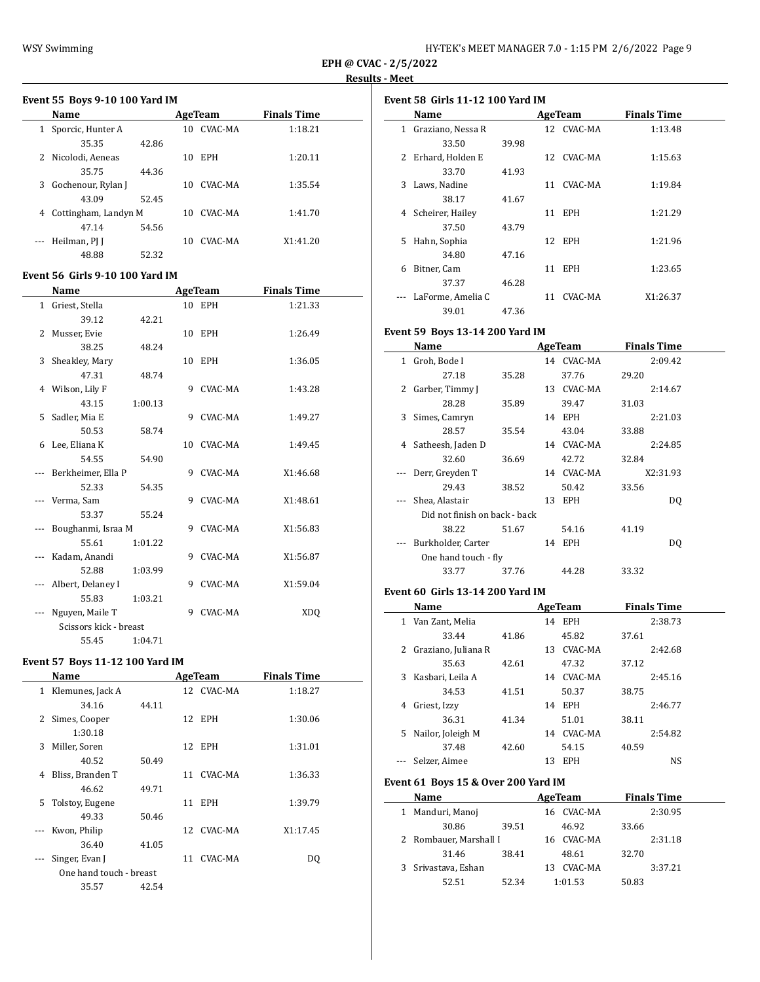$\overline{\phantom{a}}$ 

# **Event 55 Boys 9-10 100 Yard IM Name AgeTeam Finals Time** 1 Sporcic, Hunter A 10 CVAC-MA 1:18.21

|    | 35.35                | 42.86 |    |            |          |
|----|----------------------|-------|----|------------|----------|
| 2  | Nicolodi, Aeneas     |       | 10 | <b>EPH</b> | 1:20.11  |
|    | 35.75                | 44.36 |    |            |          |
| 3. | Gochenour, Rylan J   |       | 10 | CVAC-MA    | 1:35.54  |
|    | 43.09                | 52.45 |    |            |          |
| 4  | Cottingham, Landyn M |       | 10 | CVAC-MA    | 1:41.70  |
|    | 47.14                | 54.56 |    |            |          |
|    | Heilman, PJ J        |       | 10 | CVAC-MA    | X1:41.20 |
|    | 48.88                | 52.32 |    |            |          |

### **Event 56 Girls 9-10 100 Yard IM**

|   | Name                   |         |   | <b>AgeTeam</b> | <b>Finals Time</b> |
|---|------------------------|---------|---|----------------|--------------------|
| 1 | Griest, Stella         |         |   | 10 EPH         | 1:21.33            |
|   | 39.12                  | 42.21   |   |                |                    |
| 2 | Musser, Evie           |         |   | 10 EPH         | 1:26.49            |
|   | 38.25                  | 48.24   |   |                |                    |
| 3 | Sheakley, Mary         |         |   | 10 EPH         | 1:36.05            |
|   | 47.31                  | 48.74   |   |                |                    |
|   | 4 Wilson, Lily F       |         | 9 | CVAC-MA        | 1:43.28            |
|   | 43.15                  | 1:00.13 |   |                |                    |
| 5 | Sadler, Mia E          |         | 9 | CVAC-MA        | 1:49.27            |
|   | 50.53                  | 58.74   |   |                |                    |
| 6 | Lee, Eliana K          |         |   | 10 CVAC-MA     | 1:49.45            |
|   | 54.55                  | 54.90   |   |                |                    |
|   | --- Berkheimer, Ella P |         |   | 9 CVAC-MA      | X1:46.68           |
|   | 52.33                  | 54.35   |   |                |                    |
|   | --- Verma, Sam         |         | 9 | CVAC-MA        | X1:48.61           |
|   | 53.37                  | 55.24   |   |                |                    |
|   | Boughanmi, Israa M     |         | 9 | CVAC-MA        | X1:56.83           |
|   | 55.61                  | 1:01.22 |   |                |                    |
|   | Kadam, Anandi          |         | 9 | CVAC-MA        | X1:56.87           |
|   | 52.88                  | 1:03.99 |   |                |                    |
|   | Albert, Delaney I      |         | 9 | CVAC-MA        | X1:59.04           |
|   | 55.83                  | 1:03.21 |   |                |                    |
|   | Nguyen, Maile T        |         | 9 | CVAC-MA        | <b>XDQ</b>         |
|   | Scissors kick - breast |         |   |                |                    |
|   | 55.45                  | 1:04.71 |   |                |                    |

### **Event 57 Boys 11-12 100 Yard IM**

| Name                  |       |                         |         | <b>Finals Time</b>                                                              |  |
|-----------------------|-------|-------------------------|---------|---------------------------------------------------------------------------------|--|
| Klemunes, Jack A<br>1 |       |                         |         | 1:18.27                                                                         |  |
| 34.16                 | 44.11 |                         |         |                                                                                 |  |
| Simes, Cooper<br>2    |       |                         |         | 1:30.06                                                                         |  |
| 1:30.18               |       |                         |         |                                                                                 |  |
| Miller, Soren         |       |                         |         | 1:31.01                                                                         |  |
| 40.52                 | 50.49 |                         |         |                                                                                 |  |
| Bliss, Branden T      |       |                         |         | 1:36.33                                                                         |  |
| 46.62                 | 49.71 |                         |         |                                                                                 |  |
| Tolstoy, Eugene<br>5. |       |                         |         | 1:39.79                                                                         |  |
| 49.33                 | 50.46 |                         |         |                                                                                 |  |
| Kwon, Philip          |       |                         |         | X1:17.45                                                                        |  |
| 36.40                 | 41.05 |                         |         |                                                                                 |  |
| Singer, Evan J        |       | 11                      | CVAC-MA | DO.                                                                             |  |
|                       |       |                         |         |                                                                                 |  |
| 35.57                 | 42.54 |                         |         |                                                                                 |  |
|                       |       | One hand touch - breast |         | AgeTeam<br>12 CVAC-MA<br>12 EPH<br>12 EPH<br>11 CVAC-MA<br>11 EPH<br>12 CVAC-MA |  |

| Event 58  Girls 11-12 100 Yard IM |                   |       |                  |                    |  |  |
|-----------------------------------|-------------------|-------|------------------|--------------------|--|--|
|                                   | Name              |       | AgeTeam          | <b>Finals Time</b> |  |  |
| 1                                 | Graziano, Nessa R |       | 12 CVAC-MA       | 1:13.48            |  |  |
|                                   | 33.50             | 39.98 |                  |                    |  |  |
| 2                                 | Erhard, Holden E  |       | 12 CVAC-MA       | 1:15.63            |  |  |
|                                   | 33.70             | 41.93 |                  |                    |  |  |
| 3                                 | Laws, Nadine      |       | CVAC-MA<br>11    | 1:19.84            |  |  |
|                                   | 38.17             | 41.67 |                  |                    |  |  |
| 4                                 | Scheirer, Hailey  |       | <b>EPH</b><br>11 | 1:21.29            |  |  |
|                                   | 37.50             | 43.79 |                  |                    |  |  |
| 5.                                | Hahn, Sophia      |       | 12 EPH           | 1:21.96            |  |  |
|                                   | 34.80             | 47.16 |                  |                    |  |  |
| 6                                 | Bitner, Cam       |       | <b>EPH</b><br>11 | 1:23.65            |  |  |
|                                   | 37.37             | 46.28 |                  |                    |  |  |
|                                   | LaForme, Amelia C |       | CVAC-MA<br>11    | X1:26.37           |  |  |
|                                   | 39.01             | 47.36 |                  |                    |  |  |

## **Event 59 Boys 13-14 200 Yard IM**

|   | Name                          |       |    | AgeTeam    | <b>Finals Time</b> |
|---|-------------------------------|-------|----|------------|--------------------|
| 1 | Groh, Bode I                  |       |    | 14 CVAC-MA | 2:09.42            |
|   | 27.18                         | 35.28 |    | 37.76      | 29.20              |
| 2 | Garber, Timmy J               |       | 13 | CVAC-MA    | 2:14.67            |
|   | 28.28                         | 35.89 |    | 39.47      | 31.03              |
| 3 | Simes, Camryn                 |       |    | 14 EPH     | 2:21.03            |
|   | 28.57                         | 35.54 |    | 43.04      | 33.88              |
| 4 | Satheesh, Jaden D             |       |    | 14 CVAC-MA | 2:24.85            |
|   | 32.60                         | 36.69 |    | 42.72      | 32.84              |
|   | Derr, Greyden T               |       |    | 14 CVAC-MA | X2:31.93           |
|   | 29.43                         | 38.52 |    | 50.42      | 33.56              |
|   | Shea, Alastair                |       | 13 | EPH        | DQ                 |
|   | Did not finish on back - back |       |    |            |                    |
|   | 38.22                         | 51.67 |    | 54.16      | 41.19              |
|   | Burkholder, Carter            |       | 14 | EPH        | DQ                 |
|   | One hand touch - fly          |       |    |            |                    |
|   | 33.77                         | 37.76 |    | 44.28      | 33.32              |
|   |                               |       |    |            |                    |

### **Event 60 Girls 13-14 200 Yard IM**

|    | Name                |       |    | <b>AgeTeam</b> |       | <b>Finals Time</b> |  |
|----|---------------------|-------|----|----------------|-------|--------------------|--|
| 1  | Van Zant. Melia     |       | 14 | <b>EPH</b>     |       | 2:38.73            |  |
|    | 33.44               | 41.86 |    | 45.82          | 37.61 |                    |  |
| 2  | Graziano, Juliana R |       | 13 | CVAC-MA        |       | 2:42.68            |  |
|    | 35.63               | 42.61 |    | 47.32          | 37.12 |                    |  |
| 3  | Kasbari, Leila A    |       | 14 | CVAC-MA        |       | 2:45.16            |  |
|    | 34.53               | 41.51 |    | 50.37          | 38.75 |                    |  |
| 4  | Griest, Izzy        |       | 14 | <b>EPH</b>     |       | 2:46.77            |  |
|    | 36.31               | 41.34 |    | 51.01          | 38.11 |                    |  |
| 5. | Nailor, Joleigh M   |       | 14 | CVAC-MA        |       | 2:54.82            |  |
|    | 37.48               | 42.60 |    | 54.15          | 40.59 |                    |  |
|    | Selzer, Aimee       |       | 13 | <b>EPH</b>     |       | <b>NS</b>          |  |

### **Event 61 Boys 15 & Over 200 Yard IM**

|   | Name                   |       |    | AgeTeam    |       | <b>Finals Time</b> |  |
|---|------------------------|-------|----|------------|-------|--------------------|--|
| 1 | Manduri, Manoj         |       |    | 16 CVAC-MA |       | 2:30.95            |  |
|   | 30.86                  | 39.51 |    | 46.92      | 33.66 |                    |  |
|   | 2 Rombauer, Marshall I |       |    | 16 CVAC-MA |       | 2:31.18            |  |
|   | 31.46                  | 38.41 |    | 48.61      | 32.70 |                    |  |
|   | 3 Srivastava, Eshan    |       | 13 | CVAC-MA    |       | 3:37.21            |  |
|   | 52.51                  | 52.34 |    | 1:01.53    | 50.83 |                    |  |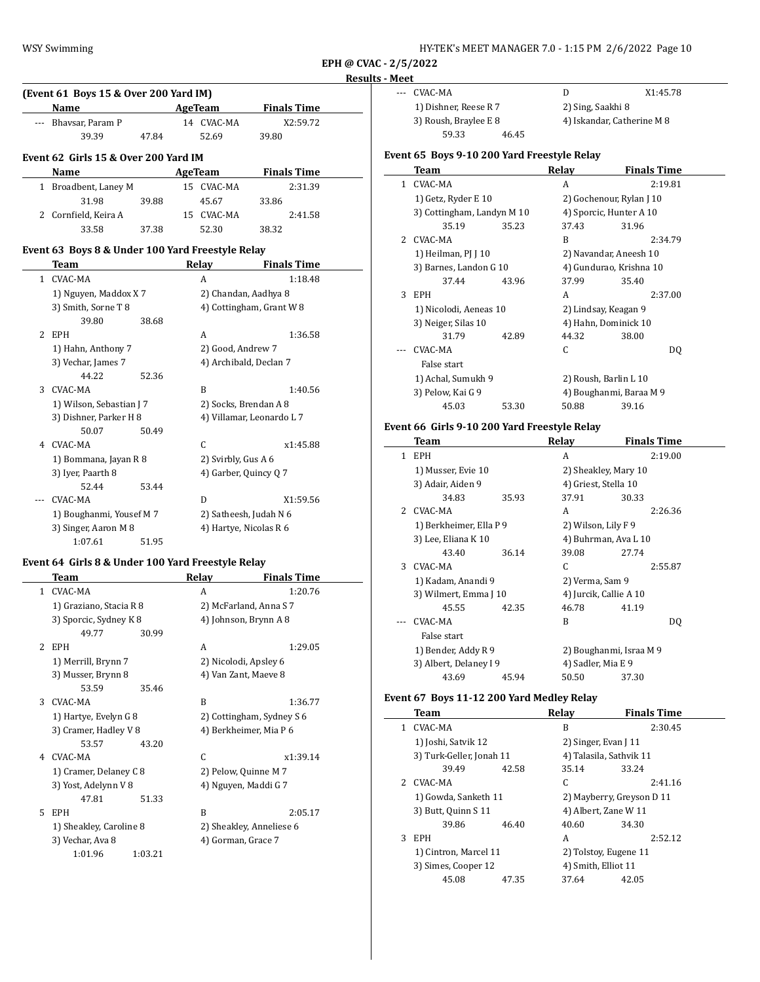|   |                                                   |                      |                        |                           | Rest |
|---|---------------------------------------------------|----------------------|------------------------|---------------------------|------|
|   | (Event 61 Boys 15 & Over 200 Yard IM)             |                      |                        |                           |      |
|   | Name                                              |                      | <b>AgeTeam</b>         | <b>Finals Time</b>        |      |
|   | --- Bhavsar, Param P                              |                      | 14 CVAC-MA             | X2:59.72                  |      |
|   | 39.39                                             | 47.84                | 52.69                  | 39.80                     |      |
|   | Event 62 Girls 15 & Over 200 Yard IM              |                      |                        |                           |      |
|   | Name                                              |                      | <b>AgeTeam</b>         | <b>Finals Time</b>        |      |
|   | 1 Broadbent, Laney M                              |                      | 15 CVAC-MA             | 2:31.39                   |      |
|   | 31.98                                             | 39.88                | 45.67                  | 33.86                     |      |
|   | 2 Cornfield, Keira A                              |                      | 15 CVAC-MA             | 2:41.58                   |      |
|   | 33.58                                             | 37.38                | 52.30                  | 38.32                     |      |
|   | Event 63 Boys 8 & Under 100 Yard Freestyle Relay  |                      |                        |                           |      |
|   | Team                                              |                      | Relay                  | <b>Finals Time</b>        |      |
|   | 1 CVAC-MA                                         |                      | A                      | 1:18.48                   |      |
|   | 1) Nguyen, Maddox X7                              | 2) Chandan, Aadhya 8 |                        |                           |      |
|   | 3) Smith, Sorne T 8                               |                      |                        | 4) Cottingham, Grant W 8  |      |
|   | 39.80                                             | 38.68                |                        |                           |      |
| 2 | EPH                                               |                      | A                      | 1:36.58                   |      |
|   | 1) Hahn, Anthony 7                                |                      | 2) Good, Andrew 7      |                           |      |
|   | 3) Vechar, James 7                                |                      | 4) Archibald, Declan 7 |                           |      |
|   | 44.22                                             | 52.36                |                        |                           |      |
|   | 3 CVAC-MA                                         |                      | B                      | 1:40.56                   |      |
|   | 1) Wilson, Sebastian J 7                          |                      | 2) Socks, Brendan A 8  |                           |      |
|   | 3) Dishner, Parker H 8                            |                      |                        | 4) Villamar, Leonardo L 7 |      |
|   | 50.07                                             | 50.49                |                        |                           |      |
|   | 4 CVAC-MA                                         |                      | $\mathsf{C}$           | x1:45.88                  |      |
|   | 1) Bommana, Jayan R 8                             |                      | 2) Svirbly, Gus A 6    |                           |      |
|   | 3) Iyer, Paarth 8                                 |                      | 4) Garber, Quincy Q 7  |                           |      |
|   | 52.44                                             | 53.44                |                        |                           |      |
|   | CVAC-MA                                           |                      | D                      | X1:59.56                  |      |
|   | 1) Boughanmi, Yousef M 7                          |                      | 2) Satheesh, Judah N 6 |                           |      |
|   | 3) Singer, Aaron M 8                              |                      | 4) Hartye, Nicolas R 6 |                           |      |
|   | 1:07.61                                           | 51.95                |                        |                           |      |
|   | Event 64 Girls 8 & Under 100 Yard Freestyle Relay |                      |                        |                           |      |
|   | Team                                              |                      | Relay                  | <b>Finals Time</b>        |      |
|   |                                                   |                      |                        |                           |      |

|              | .ca                     |         | $\cdots$           |                           |
|--------------|-------------------------|---------|--------------------|---------------------------|
| $\mathbf{1}$ | CVAC-MA                 |         | A                  | 1:20.76                   |
|              | 1) Graziano, Stacia R 8 |         |                    | 2) McFarland, Anna S 7    |
|              | 3) Sporcic, Sydney K 8  |         |                    | 4) Johnson, Brynn A 8     |
|              | 49.77                   | 30.99   |                    |                           |
| 2            | <b>EPH</b>              |         | A                  | 1:29.05                   |
|              | 1) Merrill, Brynn 7     |         |                    | 2) Nicolodi, Apsley 6     |
|              | 3) Musser, Brynn 8      |         |                    | 4) Van Zant, Maeve 8      |
|              | 53.59                   | 35.46   |                    |                           |
| 3            | CVAC-MA                 |         | B                  | 1:36.77                   |
|              | 1) Hartye, Evelyn G 8   |         |                    | 2) Cottingham, Sydney S 6 |
|              | 3) Cramer, Hadley V 8   |         |                    | 4) Berkheimer, Mia P 6    |
|              | 53.57                   | 43.20   |                    |                           |
| 4            | CVAC-MA                 |         | C                  | x1:39.14                  |
|              | 1) Cramer, Delaney C 8  |         |                    | 2) Pelow, Quinne M 7      |
|              | 3) Yost, Adelynn V 8    |         |                    | 4) Nguyen, Maddi G 7      |
|              | 47.81                   | 51.33   |                    |                           |
| 5            | <b>EPH</b>              |         | B                  | 2:05.17                   |
|              | 1) Sheakley, Caroline 8 |         |                    | 2) Sheakley, Anneliese 6  |
|              | 3) Vechar, Ava 8        |         | 4) Gorman, Grace 7 |                           |
|              | 1:01.96                 | 1:03.21 |                    |                           |
|              |                         |         |                    |                           |

--- CVAC-MA D X1:45.78 1) Dishner, Reese R 7 2) Sing, Saakhi 8 59.33 46.45

3) Roush, Braylee E 8 4) Iskandar, Catherine M 8

## **Event 65 Boys 9-10 200 Yard Freestyle Relay**

|    | Team                       |       | Relay                    | Finals Time |
|----|----------------------------|-------|--------------------------|-------------|
| 1. | CVAC-MA                    |       | A                        | 2:19.81     |
|    | 1) Getz, Ryder E 10        |       | 2) Gochenour, Rylan J 10 |             |
|    | 3) Cottingham, Landyn M 10 |       | 4) Sporcic, Hunter A 10  |             |
|    | 35.19                      | 35.23 | 37.43                    | 31.96       |
|    | 2 CVAC-MA                  |       | B                        | 2:34.79     |
|    | 1) Heilman, $PI$ J $10$    |       | 2) Navandar, Aneesh 10   |             |
|    | 3) Barnes, Landon G 10     |       | 4) Gundurao, Krishna 10  |             |
|    | 37.44                      | 43.96 | 37.99                    | 35.40       |
| 3  | EPH.                       |       | A                        | 2:37.00     |
|    | 1) Nicolodi, Aeneas 10     |       | 2) Lindsay, Keagan 9     |             |
|    | 3) Neiger, Silas 10        |       | 4) Hahn, Dominick 10     |             |
|    | 31.79                      | 42.89 | 44.32                    | 38.00       |
|    | CVAC-MA                    |       | C                        | DQ          |
|    | False start                |       |                          |             |
|    | 1) Achal, Sumukh 9         |       | 2) Roush, Barlin L 10    |             |
|    | 3) Pelow, Kai G 9          |       | 4) Boughanmi, Baraa M 9  |             |
|    | 45.03                      | 53.30 | 50.88                    | 39.16       |
|    |                            |       |                          |             |

# **Event 66 Girls 9-10 200 Yard Freestyle Relay**

|                | Team                    |       | Relay                   | <b>Finals Time</b> |
|----------------|-------------------------|-------|-------------------------|--------------------|
| 1              | <b>EPH</b>              |       | A                       | 2:19.00            |
|                | 1) Musser, Evie 10      |       | 2) Sheakley, Mary 10    |                    |
|                | 3) Adair, Aiden 9       |       | 4) Griest, Stella 10    |                    |
|                | 34.83                   | 35.93 | 37.91                   | 30.33              |
| $\overline{2}$ | CVAC-MA                 |       | A                       | 2:26.36            |
|                | 1) Berkheimer, Ella P 9 |       | 2) Wilson, Lily F 9     |                    |
|                | 3) Lee, Eliana K 10     |       | 4) Buhrman, Ava L 10    |                    |
|                | 43.40                   | 36.14 | 39.08                   | 27.74              |
| 3              | CVAC-MA                 |       | C                       | 2:55.87            |
|                | 1) Kadam, Anandi 9      |       | 2) Verma, Sam 9         |                    |
|                | 3) Wilmert, Emma J 10   |       | 4) Jurcik, Callie A 10  |                    |
|                | 45.55                   | 42.35 | 46.78                   | 41.19              |
|                | CVAC-MA                 |       | B                       | DQ                 |
|                | False start             |       |                         |                    |
|                | 1) Bender, Addy R 9     |       | 2) Boughanmi, Israa M 9 |                    |
|                | 3) Albert, Delaney I 9  |       | 4) Sadler, Mia E 9      |                    |
|                | 43.69                   | 45.94 | 50.50                   | 37.30              |

## **Event 67 Boys 11-12 200 Yard Medley Relay**

 $\overline{a}$ 

|    | Team                     |       | Relay                     | <b>Finals Time</b> |
|----|--------------------------|-------|---------------------------|--------------------|
| 1. | CVAC-MA                  |       | B                         | 2:30.45            |
|    | 1) Joshi, Satvik 12      |       | 2) Singer, Evan [11]      |                    |
|    | 3) Turk-Geller, Jonah 11 |       | 4) Talasila, Sathvik 11   |                    |
|    | 39.49                    | 42.58 | 35.14                     | 33.24              |
| 2. | CVAC-MA                  |       | C                         | 2:41.16            |
|    | 1) Gowda, Sanketh 11     |       | 2) Mayberry, Greyson D 11 |                    |
|    | 3) Butt, Quinn S 11      |       | 4) Albert, Zane W 11      |                    |
|    | 39.86                    | 46.40 | 40.60                     | 34.30              |
| 3  | <b>EPH</b>               |       | А                         | 2:52.12            |
|    | 1) Cintron, Marcel 11    |       | 2) Tolstoy, Eugene 11     |                    |
|    | 3) Simes, Cooper 12      |       | 4) Smith, Elliot 11       |                    |
|    | 45.08                    | 47.35 | 37.64                     | 42.05              |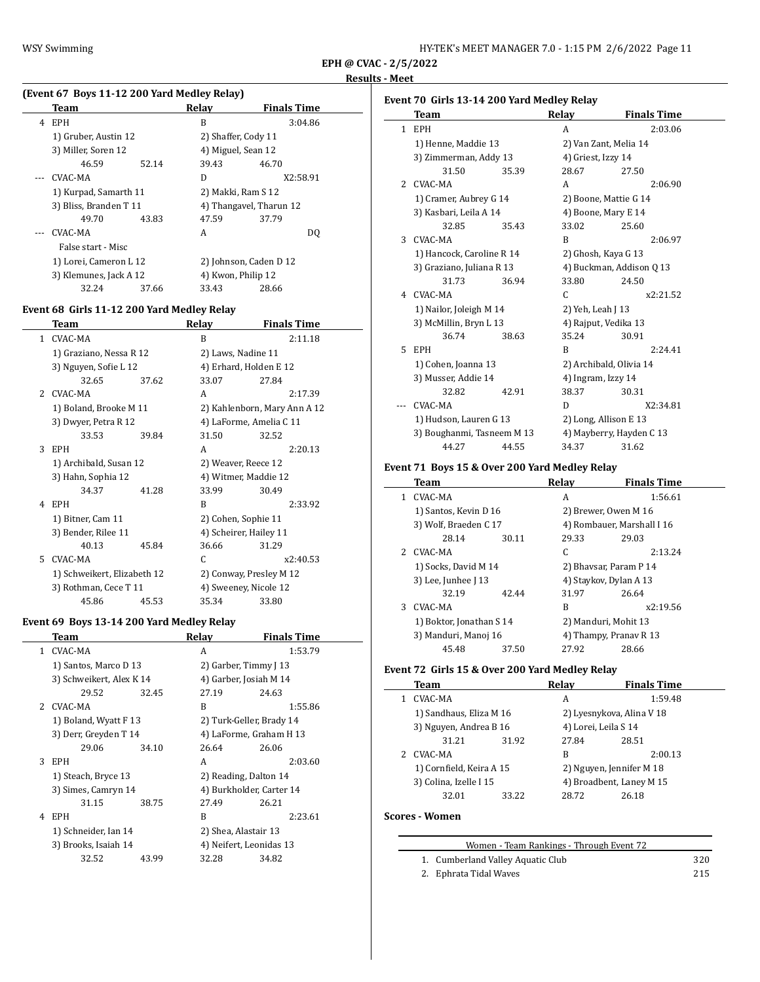l.

**EPH @ CVAC - 2/5/2022 Results - Meet**

# **(Event 67 Boys 11-12 200 Yard Medley Relay)**

|   | Team                   |       | Relay                   | <b>Finals Time</b>     |  |
|---|------------------------|-------|-------------------------|------------------------|--|
| 4 | EPH                    |       | B                       | 3:04.86                |  |
|   | 1) Gruber, Austin 12   |       | 2) Shaffer, Cody 11     |                        |  |
|   | 3) Miller, Soren 12    |       | 4) Miguel, Sean 12      |                        |  |
|   | 46.59                  | 52.14 | 39.43                   | 46.70                  |  |
|   | CVAC-MA                |       | D                       | X2:58.91               |  |
|   | 1) Kurpad, Samarth 11  |       | 2) Makki, Ram S 12      |                        |  |
|   | 3) Bliss, Branden T 11 |       | 4) Thangavel, Tharun 12 |                        |  |
|   | 49.70                  | 43.83 | 47.59                   | 37.79                  |  |
|   | CVAC-MA                |       | A                       | DO.                    |  |
|   | False start - Misc     |       |                         |                        |  |
|   | 1) Lorei, Cameron L 12 |       |                         | 2) Johnson, Caden D 12 |  |
|   | 3) Klemunes, Jack A 12 |       | 4) Kwon, Philip 12      |                        |  |
|   | 32.24                  | 37.66 | 33.43                   | 28.66                  |  |

## **Event 68 Girls 11-12 200 Yard Medley Relay**

|    | Team                        |       | Relay                   | <b>Finals Time</b>           |
|----|-----------------------------|-------|-------------------------|------------------------------|
| 1  | CVAC-MA                     |       | B                       | 2:11.18                      |
|    | 1) Graziano, Nessa R 12     |       | 2) Laws, Nadine 11      |                              |
|    | 3) Nguyen, Sofie L 12       |       | 4) Erhard, Holden E 12  |                              |
|    | 32.65                       | 37.62 | 33.07                   | 27.84                        |
|    | 2 CVAC-MA                   |       | A                       | 2:17.39                      |
|    | 1) Boland, Brooke M 11      |       |                         | 2) Kahlenborn, Mary Ann A 12 |
|    | 3) Dwyer, Petra R 12        |       | 4) LaForme, Amelia C 11 |                              |
|    | 33.53                       | 39.84 | 31.50                   | 32.52                        |
| 3  | <b>EPH</b>                  |       | A                       | 2:20.13                      |
|    | 1) Archibald, Susan 12      |       | 2) Weaver, Reece 12     |                              |
|    | 3) Hahn, Sophia 12          |       | 4) Witmer, Maddie 12    |                              |
|    | 34.37                       | 41.28 | 33.99                   | 30.49                        |
| 4  | EPH                         |       | R                       | 2:33.92                      |
|    | 1) Bitner, Cam 11           |       | 2) Cohen, Sophie 11     |                              |
|    | 3) Bender, Rilee 11         |       | 4) Scheirer, Hailey 11  |                              |
|    | 40.13                       | 45.84 | 36.66                   | 31.29                        |
| 5. | CVAC-MA                     |       | C                       | x2:40.53                     |
|    | 1) Schweikert, Elizabeth 12 |       | 2) Conway, Presley M 12 |                              |
|    | 3) Rothman, Cece T 11       |       | 4) Sweeney, Nicole 12   |                              |
|    | 45.86                       | 45.53 | 35.34                   | 33.80                        |

## **Event 69 Boys 13-14 200 Yard Medley Relay**

|   | Team                     |       | Relay                    | <b>Finals Time</b> |
|---|--------------------------|-------|--------------------------|--------------------|
| 1 | CVAC-MA                  |       | A                        | 1:53.79            |
|   | 1) Santos, Marco D 13    |       | 2) Garber, Timmy J 13    |                    |
|   | 3) Schweikert, Alex K 14 |       | 4) Garber, Josiah M 14   |                    |
|   | 29.52                    | 32.45 | 27.19                    | 24.63              |
|   | 2 CVAC-MA                |       | B                        | 1:55.86            |
|   | 1) Boland, Wyatt F 13    |       | 2) Turk-Geller, Brady 14 |                    |
|   | 3) Derr, Greyden T 14    |       | 4) LaForme, Graham H 13  |                    |
|   | 29.06                    | 34.10 | 26.64                    | 26.06              |
| 3 | <b>EPH</b>               |       | A                        | 2:03.60            |
|   | 1) Steach, Bryce 13      |       | 2) Reading, Dalton 14    |                    |
|   | 3) Simes, Camryn 14      |       | 4) Burkholder, Carter 14 |                    |
|   | 31.15                    | 38.75 | 27.49                    | 26.21              |
| 4 | <b>EPH</b>               |       | B                        | 2:23.61            |
|   | 1) Schneider, Ian 14     |       | 2) Shea, Alastair 13     |                    |
|   | 3) Brooks, Isaiah 14     |       | 4) Neifert, Leonidas 13  |                    |
|   | 32.52                    | 43.99 | 32.28                    | 34.82              |
|   |                          |       |                          |                    |

# **Event 70 Girls 13-14 200 Yard Medley Relay**

|              | vent / 0  an 13 15 17 200  iai u Medicy Kelay |       |                    |                          |  |  |  |
|--------------|-----------------------------------------------|-------|--------------------|--------------------------|--|--|--|
|              | Team                                          |       | Relay              | <b>Finals Time</b>       |  |  |  |
| $\mathbf{1}$ | <b>EPH</b>                                    |       | A                  | 2:03.06                  |  |  |  |
|              | 1) Henne, Maddie 13                           |       |                    | 2) Van Zant, Melia 14    |  |  |  |
|              | 3) Zimmerman, Addy 13                         |       | 4) Griest, Izzy 14 |                          |  |  |  |
|              | 31.50                                         | 35.39 | 28.67              | 27.50                    |  |  |  |
| 2            | CVAC-MA                                       |       | A                  | 2:06.90                  |  |  |  |
|              | 1) Cramer, Aubrey G 14                        |       |                    | 2) Boone, Mattie G 14    |  |  |  |
|              | 3) Kasbari, Leila A 14                        |       |                    | 4) Boone, Mary E 14      |  |  |  |
|              | 32.85                                         | 35.43 | 33.02              | 25.60                    |  |  |  |
| 3            | CVAC-MA                                       |       | B                  | 2:06.97                  |  |  |  |
|              | 1) Hancock, Caroline R 14                     |       |                    | 2) Ghosh, Kaya G 13      |  |  |  |
|              | 3) Graziano, Juliana R 13                     |       |                    | 4) Buckman, Addison Q 13 |  |  |  |
|              | 31.73                                         | 36.94 | 33.80              | 24.50                    |  |  |  |
| 4            | CVAC-MA                                       |       | C.                 | x2:21.52                 |  |  |  |
|              | 1) Nailor, Joleigh M 14                       |       | 2) Yeh, Leah J 13  |                          |  |  |  |
|              | 3) McMillin, Bryn L 13                        |       |                    | 4) Rajput, Vedika 13     |  |  |  |
|              | 36.74                                         | 38.63 | 35.24              | 30.91                    |  |  |  |
| 5.           | <b>EPH</b>                                    |       | B                  | 2:24.41                  |  |  |  |
|              | 1) Cohen, Joanna 13<br>3) Musser, Addie 14    |       |                    | 2) Archibald, Olivia 14  |  |  |  |
|              |                                               |       | 4) Ingram, Izzy 14 |                          |  |  |  |
|              | 32.82                                         | 42.91 | 38.37              | 30.31                    |  |  |  |
|              | CVAC-MA                                       |       | D                  | X2:34.81                 |  |  |  |
|              | 1) Hudson, Lauren G 13                        |       |                    | 2) Long, Allison E 13    |  |  |  |
|              | 3) Boughanmi, Tasneem M 13                    |       |                    | 4) Mayberry, Hayden C 13 |  |  |  |
|              | 44.27                                         | 44.55 | 34.37              | 31.62                    |  |  |  |

# **Event 71 Boys 15 & Over 200 Yard Medley Relay**

|   | Team                     |       | Relay                  | <b>Finals Time</b>         |  |
|---|--------------------------|-------|------------------------|----------------------------|--|
| 1 | CVAC-MA                  |       | A                      | 1:56.61                    |  |
|   | 1) Santos, Kevin D 16    |       |                        | 2) Brewer, Owen M 16       |  |
|   | 3) Wolf, Braeden C 17    |       |                        | 4) Rombauer, Marshall I 16 |  |
|   | 28.14                    | 30.11 | 29.33                  | 29.03                      |  |
|   | 2 CVAC-MA                |       | C                      | 2:13.24                    |  |
|   | 1) Socks, David M 14     |       | 2) Bhaysar, Param P 14 |                            |  |
|   | 3) Lee, Junhee J 13      |       |                        | 4) Staykov, Dylan A 13     |  |
|   | 32.19                    | 42.44 | 31.97                  | 26.64                      |  |
| 3 | CVAC-MA                  |       | B                      | x2:19.56                   |  |
|   | 1) Boktor, Jonathan S 14 |       | 2) Manduri, Mohit 13   |                            |  |
|   | 3) Manduri, Manoj 16     |       |                        | 4) Thampy, Pranav R 13     |  |
|   | 45.48                    | 37.50 | 27.92                  | 28.66                      |  |

# **Event 72 Girls 15 & Over 200 Yard Medley Relay**

| Team                     |       | Relay                     | <b>Finals Time</b> |
|--------------------------|-------|---------------------------|--------------------|
| CVAC-MA                  |       | A                         | 1:59.48            |
| 1) Sandhaus, Eliza M 16  |       | 2) Lyesnykova, Alina V 18 |                    |
| 3) Nguyen, Andrea B 16   |       | 4) Lorei, Leila S 14      |                    |
| 31.21                    | 31.92 | 27.84                     | 28.51              |
| 2 CVAC-MA                |       | B                         | 2:00.13            |
| 1) Cornfield, Keira A 15 |       | 2) Nguyen, Jennifer M 18  |                    |
| 3) Colina, Izelle I 15   |       | 4) Broadbent, Laney M 15  |                    |
| 32.01                    | 33.22 | 28.72                     | 26.18              |

# **Scores - Women**

| Women - Team Rankings - Through Event 72 |     |
|------------------------------------------|-----|
| 1. Cumberland Valley Aquatic Club        | 320 |
| 2. Ephrata Tidal Waves                   | 215 |